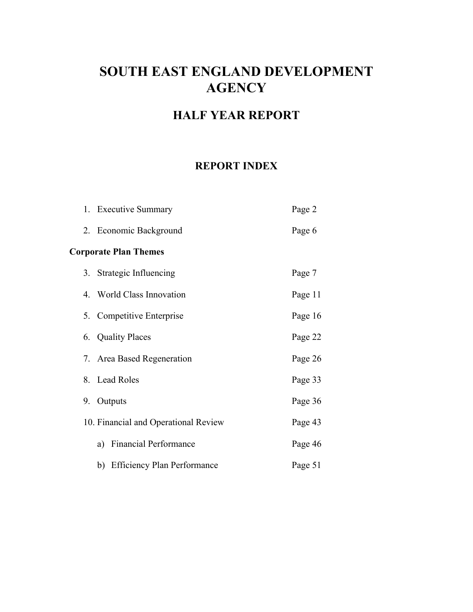# **SOUTH EAST ENGLAND DEVELOPMENT AGENCY**

# **HALF YEAR REPORT**

## **REPORT INDEX**

|                              |  | 1. Executive Summary                 | Page 2  |  |  |  |  |
|------------------------------|--|--------------------------------------|---------|--|--|--|--|
|                              |  | 2. Economic Background               | Page 6  |  |  |  |  |
| <b>Corporate Plan Themes</b> |  |                                      |         |  |  |  |  |
|                              |  | 3. Strategic Influencing             | Page 7  |  |  |  |  |
|                              |  | 4. World Class Innovation            | Page 11 |  |  |  |  |
|                              |  | 5. Competitive Enterprise            | Page 16 |  |  |  |  |
|                              |  | 6. Quality Places                    | Page 22 |  |  |  |  |
|                              |  | 7. Area Based Regeneration           | Page 26 |  |  |  |  |
|                              |  | 8. Lead Roles                        | Page 33 |  |  |  |  |
|                              |  | 9. Outputs                           | Page 36 |  |  |  |  |
|                              |  | 10. Financial and Operational Review | Page 43 |  |  |  |  |
|                              |  | a) Financial Performance             | Page 46 |  |  |  |  |
|                              |  | b) Efficiency Plan Performance       | Page 51 |  |  |  |  |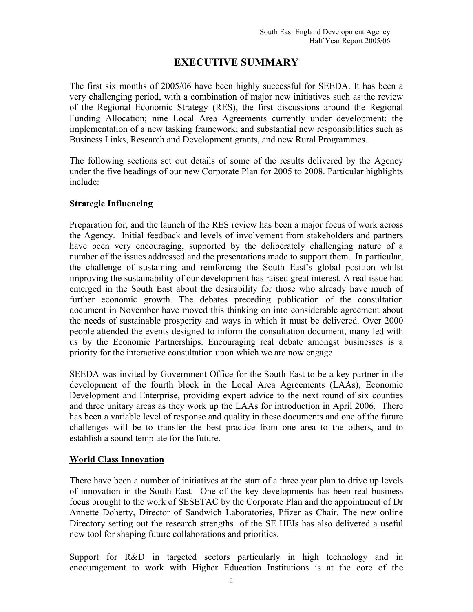## **EXECUTIVE SUMMARY**

The first six months of 2005/06 have been highly successful for SEEDA. It has been a very challenging period, with a combination of major new initiatives such as the review of the Regional Economic Strategy (RES), the first discussions around the Regional Funding Allocation; nine Local Area Agreements currently under development; the implementation of a new tasking framework; and substantial new responsibilities such as Business Links, Research and Development grants, and new Rural Programmes.

The following sections set out details of some of the results delivered by the Agency under the five headings of our new Corporate Plan for 2005 to 2008. Particular highlights include:

#### **Strategic Influencing**

Preparation for, and the launch of the RES review has been a major focus of work across the Agency. Initial feedback and levels of involvement from stakeholders and partners have been very encouraging, supported by the deliberately challenging nature of a number of the issues addressed and the presentations made to support them. In particular, the challenge of sustaining and reinforcing the South East's global position whilst improving the sustainability of our development has raised great interest. A real issue had emerged in the South East about the desirability for those who already have much of further economic growth. The debates preceding publication of the consultation document in November have moved this thinking on into considerable agreement about the needs of sustainable prosperity and ways in which it must be delivered. Over 2000 people attended the events designed to inform the consultation document, many led with us by the Economic Partnerships. Encouraging real debate amongst businesses is a priority for the interactive consultation upon which we are now engage

SEEDA was invited by Government Office for the South East to be a key partner in the development of the fourth block in the Local Area Agreements (LAAs), Economic Development and Enterprise, providing expert advice to the next round of six counties and three unitary areas as they work up the LAAs for introduction in April 2006. There has been a variable level of response and quality in these documents and one of the future challenges will be to transfer the best practice from one area to the others, and to establish a sound template for the future.

#### **World Class Innovation**

There have been a number of initiatives at the start of a three year plan to drive up levels of innovation in the South East. One of the key developments has been real business focus brought to the work of SESETAC by the Corporate Plan and the appointment of Dr Annette Doherty, Director of Sandwich Laboratories, Pfizer as Chair. The new online Directory setting out the research strengths of the SE HEIs has also delivered a useful new tool for shaping future collaborations and priorities.

Support for R&D in targeted sectors particularly in high technology and in encouragement to work with Higher Education Institutions is at the core of the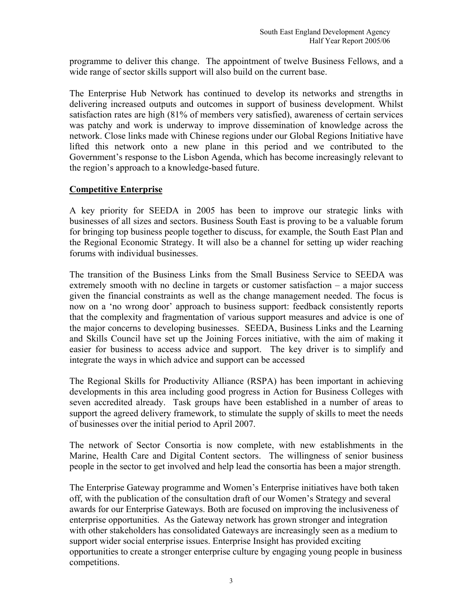programme to deliver this change. The appointment of twelve Business Fellows, and a wide range of sector skills support will also build on the current base.

The Enterprise Hub Network has continued to develop its networks and strengths in delivering increased outputs and outcomes in support of business development. Whilst satisfaction rates are high (81% of members very satisfied), awareness of certain services was patchy and work is underway to improve dissemination of knowledge across the network. Close links made with Chinese regions under our Global Regions Initiative have lifted this network onto a new plane in this period and we contributed to the Government's response to the Lisbon Agenda, which has become increasingly relevant to the region's approach to a knowledge-based future.

## **Competitive Enterprise**

A key priority for SEEDA in 2005 has been to improve our strategic links with businesses of all sizes and sectors. Business South East is proving to be a valuable forum for bringing top business people together to discuss, for example, the South East Plan and the Regional Economic Strategy. It will also be a channel for setting up wider reaching forums with individual businesses.

The transition of the Business Links from the Small Business Service to SEEDA was extremely smooth with no decline in targets or customer satisfaction – a major success given the financial constraints as well as the change management needed. The focus is now on a 'no wrong door' approach to business support: feedback consistently reports that the complexity and fragmentation of various support measures and advice is one of the major concerns to developing businesses. SEEDA, Business Links and the Learning and Skills Council have set up the Joining Forces initiative, with the aim of making it easier for business to access advice and support. The key driver is to simplify and integrate the ways in which advice and support can be accessed

The Regional Skills for Productivity Alliance (RSPA) has been important in achieving developments in this area including good progress in Action for Business Colleges with seven accredited already. Task groups have been established in a number of areas to support the agreed delivery framework, to stimulate the supply of skills to meet the needs of businesses over the initial period to April 2007.

The network of Sector Consortia is now complete, with new establishments in the Marine, Health Care and Digital Content sectors. The willingness of senior business people in the sector to get involved and help lead the consortia has been a major strength.

The Enterprise Gateway programme and Women's Enterprise initiatives have both taken off, with the publication of the consultation draft of our Women's Strategy and several awards for our Enterprise Gateways. Both are focused on improving the inclusiveness of enterprise opportunities. As the Gateway network has grown stronger and integration with other stakeholders has consolidated Gateways are increasingly seen as a medium to support wider social enterprise issues. Enterprise Insight has provided exciting opportunities to create a stronger enterprise culture by engaging young people in business competitions.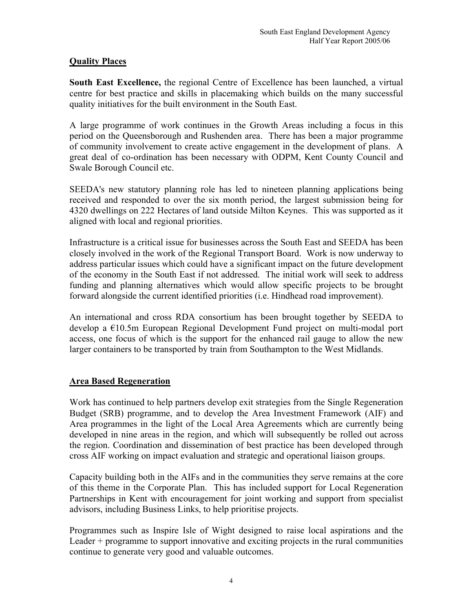## **Quality Places**

**South East Excellence,** the regional Centre of Excellence has been launched, a virtual centre for best practice and skills in placemaking which builds on the many successful quality initiatives for the built environment in the South East.

A large programme of work continues in the Growth Areas including a focus in this period on the Queensborough and Rushenden area. There has been a major programme of community involvement to create active engagement in the development of plans. A great deal of co-ordination has been necessary with ODPM, Kent County Council and Swale Borough Council etc.

SEEDA's new statutory planning role has led to nineteen planning applications being received and responded to over the six month period, the largest submission being for 4320 dwellings on 222 Hectares of land outside Milton Keynes. This was supported as it aligned with local and regional priorities.

Infrastructure is a critical issue for businesses across the South East and SEEDA has been closely involved in the work of the Regional Transport Board. Work is now underway to address particular issues which could have a significant impact on the future development of the economy in the South East if not addressed. The initial work will seek to address funding and planning alternatives which would allow specific projects to be brought forward alongside the current identified priorities (i.e. Hindhead road improvement).

An international and cross RDA consortium has been brought together by SEEDA to develop a €10.5m European Regional Development Fund project on multi-modal port access, one focus of which is the support for the enhanced rail gauge to allow the new larger containers to be transported by train from Southampton to the West Midlands.

## **Area Based Regeneration**

Work has continued to help partners develop exit strategies from the Single Regeneration Budget (SRB) programme, and to develop the Area Investment Framework (AIF) and Area programmes in the light of the Local Area Agreements which are currently being developed in nine areas in the region, and which will subsequently be rolled out across the region. Coordination and dissemination of best practice has been developed through cross AIF working on impact evaluation and strategic and operational liaison groups.

Capacity building both in the AIFs and in the communities they serve remains at the core of this theme in the Corporate Plan. This has included support for Local Regeneration Partnerships in Kent with encouragement for joint working and support from specialist advisors, including Business Links, to help prioritise projects.

Programmes such as Inspire Isle of Wight designed to raise local aspirations and the Leader + programme to support innovative and exciting projects in the rural communities continue to generate very good and valuable outcomes.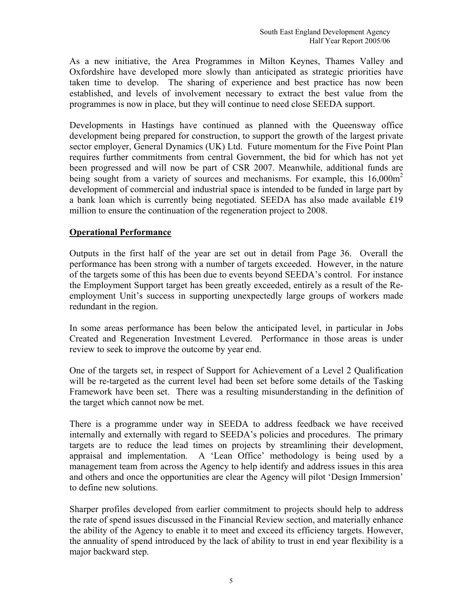As a new initiative, the Area Programmes in Milton Keynes, Thames Valley and Oxfordshire have developed more slowly than anticipated as strategic priorities have taken time to develop. The sharing of experience and best practice has now been established, and levels of involvement necessary to extract the best value from the programmes is now in place, but they will continue to need close SEEDA support.

Developments in Hastings have continued as planned with the Queensway office development being prepared for construction, to support the growth of the largest private sector employer, General Dynamics (UK) Ltd. Future momentum for the Five Point Plan requires further commitments from central Government, the bid for which has not yet been progressed and will now be part of CSR 2007. Meanwhile, additional funds are being sought from a variety of sources and mechanisms. For example, this  $16,000\,\text{m}^2$ development of commercial and industrial space is intended to be funded in large part by a bank loan which is currently being negotiated. SEEDA has also made available £19 million to ensure the continuation of the regeneration project to 2008.

## **Operational Performance**

Outputs in the first half of the year are set out in detail from Page 36. Overall the performance has been strong with a number of targets exceeded. However, in the nature of the targets some of this has been due to events beyond SEEDA's control. For instance the Employment Support target has been greatly exceeded, entirely as a result of the Reemployment Unit's success in supporting unexpectedly large groups of workers made redundant in the region.

In some areas performance has been below the anticipated level, in particular in Jobs Created and Regeneration Investment Levered. Performance in those areas is under review to seek to improve the outcome by year end.

One of the targets set, in respect of Support for Achievement of a Level 2 Qualification will be re-targeted as the current level had been set before some details of the Tasking Framework have been set. There was a resulting misunderstanding in the definition of the target which cannot now be met.

There is a programme under way in SEEDA to address feedback we have received internally and externally with regard to SEEDA's policies and procedures. The primary targets are to reduce the lead times on projects by streamlining their development, appraisal and implementation. A 'Lean Office' methodology is being used by a management team from across the Agency to help identify and address issues in this area and others and once the opportunities are clear the Agency will pilot 'Design Immersion' to define new solutions.

Sharper profiles developed from earlier commitment to projects should help to address the rate of spend issues discussed in the Financial Review section, and materially enhance the ability of the Agency to enable it to meet and exceed its efficiency targets. However, the annuality of spend introduced by the lack of ability to trust in end year flexibility is a major backward step.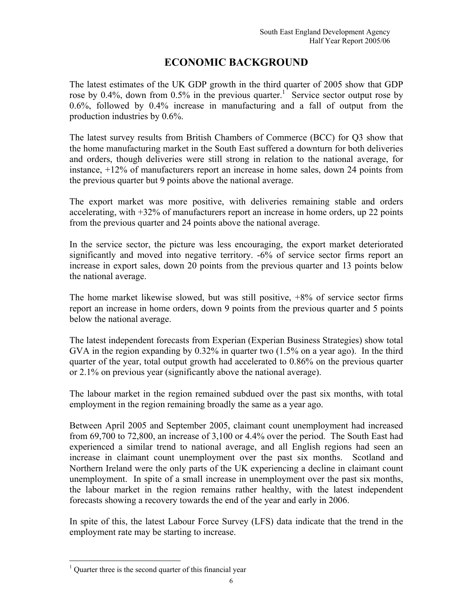## **ECONOMIC BACKGROUND**

The latest estimates of the UK GDP growth in the third quarter of 2005 show that GDP rose by 0.4%, down from 0.5% in the previous quarter.<sup>1</sup> Service sector output rose by 0.6%, followed by 0.4% increase in manufacturing and a fall of output from the production industries by 0.6%.

The latest survey results from British Chambers of Commerce (BCC) for Q3 show that the home manufacturing market in the South East suffered a downturn for both deliveries and orders, though deliveries were still strong in relation to the national average, for instance, +12% of manufacturers report an increase in home sales, down 24 points from the previous quarter but 9 points above the national average.

The export market was more positive, with deliveries remaining stable and orders accelerating, with +32% of manufacturers report an increase in home orders, up 22 points from the previous quarter and 24 points above the national average.

In the service sector, the picture was less encouraging, the export market deteriorated significantly and moved into negative territory. -6% of service sector firms report an increase in export sales, down 20 points from the previous quarter and 13 points below the national average.

The home market likewise slowed, but was still positive, +8% of service sector firms report an increase in home orders, down 9 points from the previous quarter and 5 points below the national average.

The latest independent forecasts from Experian (Experian Business Strategies) show total GVA in the region expanding by 0.32% in quarter two (1.5% on a year ago). In the third quarter of the year, total output growth had accelerated to 0.86% on the previous quarter or 2.1% on previous year (significantly above the national average).

The labour market in the region remained subdued over the past six months, with total employment in the region remaining broadly the same as a year ago.

Between April 2005 and September 2005, claimant count unemployment had increased from 69,700 to 72,800, an increase of 3,100 or 4.4% over the period. The South East had experienced a similar trend to national average, and all English regions had seen an increase in claimant count unemployment over the past six months. Scotland and Northern Ireland were the only parts of the UK experiencing a decline in claimant count unemployment. In spite of a small increase in unemployment over the past six months, the labour market in the region remains rather healthy, with the latest independent forecasts showing a recovery towards the end of the year and early in 2006.

In spite of this, the latest Labour Force Survey (LFS) data indicate that the trend in the employment rate may be starting to increase.

 $\overline{a}$ 

<sup>&</sup>lt;sup>1</sup> Quarter three is the second quarter of this financial year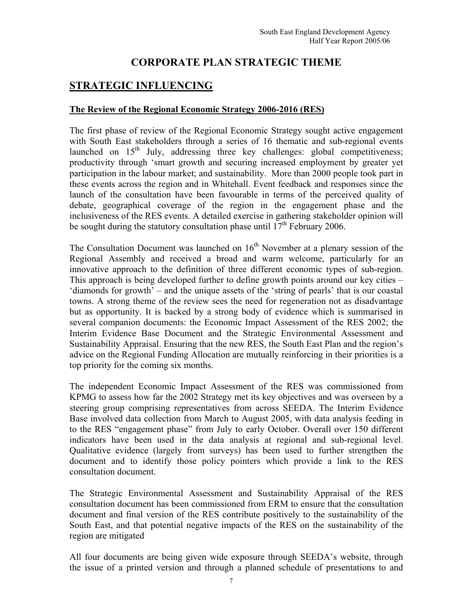## **CORPORATE PLAN STRATEGIC THEME**

## **STRATEGIC INFLUENCING**

#### **The Review of the Regional Economic Strategy 2006-2016 (RES)**

The first phase of review of the Regional Economic Strategy sought active engagement with South East stakeholders through a series of 16 thematic and sub-regional events launched on 15<sup>th</sup> July, addressing three key challenges: global competitiveness; productivity through 'smart growth and securing increased employment by greater yet participation in the labour market; and sustainability. More than 2000 people took part in these events across the region and in Whitehall. Event feedback and responses since the launch of the consultation have been favourable in terms of the perceived quality of debate, geographical coverage of the region in the engagement phase and the inclusiveness of the RES events. A detailed exercise in gathering stakeholder opinion will be sought during the statutory consultation phase until  $17<sup>th</sup>$  February 2006.

The Consultation Document was launched on  $16<sup>th</sup>$  November at a plenary session of the Regional Assembly and received a broad and warm welcome, particularly for an innovative approach to the definition of three different economic types of sub-region. This approach is being developed further to define growth points around our key cities – 'diamonds for growth' – and the unique assets of the 'string of pearls' that is our coastal towns. A strong theme of the review sees the need for regeneration not as disadvantage but as opportunity. It is backed by a strong body of evidence which is summarised in several companion documents: the Economic Impact Assessment of the RES 2002; the Interim Evidence Base Document and the Strategic Environmental Assessment and Sustainability Appraisal. Ensuring that the new RES, the South East Plan and the region's advice on the Regional Funding Allocation are mutually reinforcing in their priorities is a top priority for the coming six months.

The independent Economic Impact Assessment of the RES was commissioned from KPMG to assess how far the 2002 Strategy met its key objectives and was overseen by a steering group comprising representatives from across SEEDA. The Interim Evidence Base involved data collection from March to August 2005, with data analysis feeding in to the RES "engagement phase" from July to early October. Overall over 150 different indicators have been used in the data analysis at regional and sub-regional level. Qualitative evidence (largely from surveys) has been used to further strengthen the document and to identify those policy pointers which provide a link to the RES consultation document.

The Strategic Environmental Assessment and Sustainability Appraisal of the RES consultation document has been commissioned from ERM to ensure that the consultation document and final version of the RES contribute positively to the sustainability of the South East, and that potential negative impacts of the RES on the sustainability of the region are mitigated

All four documents are being given wide exposure through SEEDA's website, through the issue of a printed version and through a planned schedule of presentations to and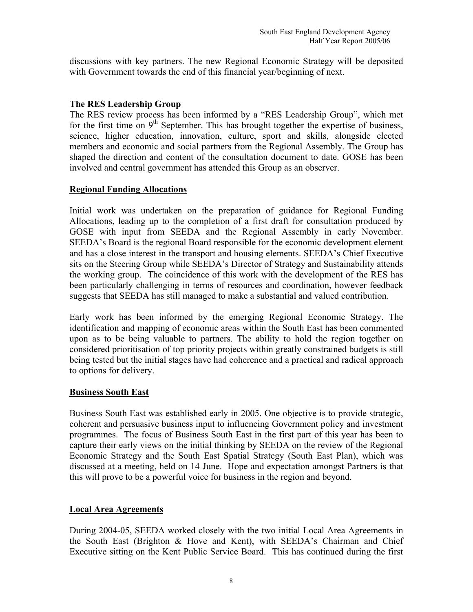discussions with key partners. The new Regional Economic Strategy will be deposited with Government towards the end of this financial year/beginning of next.

#### **The RES Leadership Group**

The RES review process has been informed by a "RES Leadership Group", which met for the first time on  $9<sup>th</sup>$  September. This has brought together the expertise of business, science, higher education, innovation, culture, sport and skills, alongside elected members and economic and social partners from the Regional Assembly. The Group has shaped the direction and content of the consultation document to date. GOSE has been involved and central government has attended this Group as an observer.

#### **Regional Funding Allocations**

Initial work was undertaken on the preparation of guidance for Regional Funding Allocations, leading up to the completion of a first draft for consultation produced by GOSE with input from SEEDA and the Regional Assembly in early November. SEEDA's Board is the regional Board responsible for the economic development element and has a close interest in the transport and housing elements. SEEDA's Chief Executive sits on the Steering Group while SEEDA's Director of Strategy and Sustainability attends the working group. The coincidence of this work with the development of the RES has been particularly challenging in terms of resources and coordination, however feedback suggests that SEEDA has still managed to make a substantial and valued contribution.

Early work has been informed by the emerging Regional Economic Strategy. The identification and mapping of economic areas within the South East has been commented upon as to be being valuable to partners. The ability to hold the region together on considered prioritisation of top priority projects within greatly constrained budgets is still being tested but the initial stages have had coherence and a practical and radical approach to options for delivery.

#### **Business South East**

Business South East was established early in 2005. One objective is to provide strategic, coherent and persuasive business input to influencing Government policy and investment programmes. The focus of Business South East in the first part of this year has been to capture their early views on the initial thinking by SEEDA on the review of the Regional Economic Strategy and the South East Spatial Strategy (South East Plan), which was discussed at a meeting, held on 14 June. Hope and expectation amongst Partners is that this will prove to be a powerful voice for business in the region and beyond.

## **Local Area Agreements**

During 2004-05, SEEDA worked closely with the two initial Local Area Agreements in the South East (Brighton & Hove and Kent), with SEEDA's Chairman and Chief Executive sitting on the Kent Public Service Board. This has continued during the first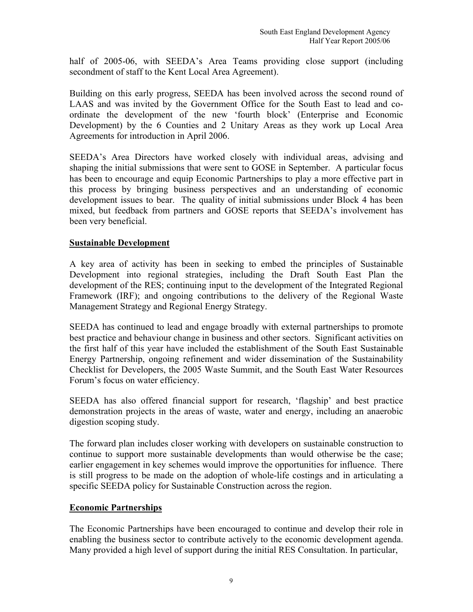half of 2005-06, with SEEDA's Area Teams providing close support (including secondment of staff to the Kent Local Area Agreement).

Building on this early progress, SEEDA has been involved across the second round of LAAS and was invited by the Government Office for the South East to lead and coordinate the development of the new 'fourth block' (Enterprise and Economic Development) by the 6 Counties and 2 Unitary Areas as they work up Local Area Agreements for introduction in April 2006.

SEEDA's Area Directors have worked closely with individual areas, advising and shaping the initial submissions that were sent to GOSE in September. A particular focus has been to encourage and equip Economic Partnerships to play a more effective part in this process by bringing business perspectives and an understanding of economic development issues to bear. The quality of initial submissions under Block 4 has been mixed, but feedback from partners and GOSE reports that SEEDA's involvement has been very beneficial.

#### **Sustainable Development**

A key area of activity has been in seeking to embed the principles of Sustainable Development into regional strategies, including the Draft South East Plan the development of the RES; continuing input to the development of the Integrated Regional Framework (IRF); and ongoing contributions to the delivery of the Regional Waste Management Strategy and Regional Energy Strategy.

SEEDA has continued to lead and engage broadly with external partnerships to promote best practice and behaviour change in business and other sectors. Significant activities on the first half of this year have included the establishment of the South East Sustainable Energy Partnership, ongoing refinement and wider dissemination of the Sustainability Checklist for Developers, the 2005 Waste Summit, and the South East Water Resources Forum's focus on water efficiency.

SEEDA has also offered financial support for research, 'flagship' and best practice demonstration projects in the areas of waste, water and energy, including an anaerobic digestion scoping study.

The forward plan includes closer working with developers on sustainable construction to continue to support more sustainable developments than would otherwise be the case; earlier engagement in key schemes would improve the opportunities for influence. There is still progress to be made on the adoption of whole-life costings and in articulating a specific SEEDA policy for Sustainable Construction across the region.

## **Economic Partnerships**

The Economic Partnerships have been encouraged to continue and develop their role in enabling the business sector to contribute actively to the economic development agenda. Many provided a high level of support during the initial RES Consultation. In particular,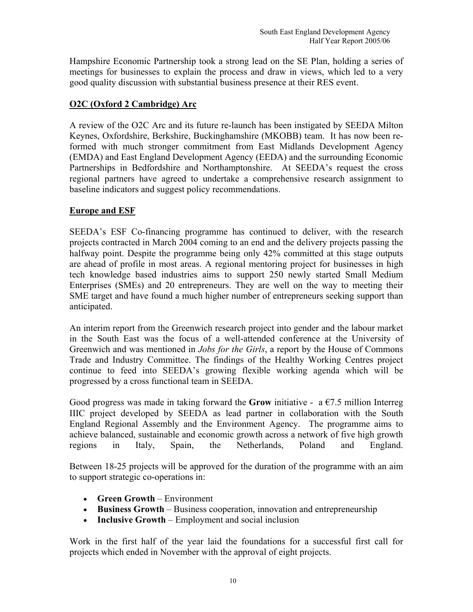Hampshire Economic Partnership took a strong lead on the SE Plan, holding a series of meetings for businesses to explain the process and draw in views, which led to a very good quality discussion with substantial business presence at their RES event.

## **O2C (Oxford 2 Cambridge) Arc**

A review of the O2C Arc and its future re-launch has been instigated by SEEDA Milton Keynes, Oxfordshire, Berkshire, Buckinghamshire (MKOBB) team. It has now been reformed with much stronger commitment from East Midlands Development Agency (EMDA) and East England Development Agency (EEDA) and the surrounding Economic Partnerships in Bedfordshire and Northamptonshire. At SEEDA's request the cross regional partners have agreed to undertake a comprehensive research assignment to baseline indicators and suggest policy recommendations.

## **Europe and ESF**

SEEDA's ESF Co-financing programme has continued to deliver, with the research projects contracted in March 2004 coming to an end and the delivery projects passing the halfway point. Despite the programme being only 42% committed at this stage outputs are ahead of profile in most areas. A regional mentoring project for businesses in high tech knowledge based industries aims to support 250 newly started Small Medium Enterprises (SMEs) and 20 entrepreneurs. They are well on the way to meeting their SME target and have found a much higher number of entrepreneurs seeking support than anticipated.

An interim report from the Greenwich research project into gender and the labour market in the South East was the focus of a well-attended conference at the University of Greenwich and was mentioned in *Jobs for the Girls*, a report by the House of Commons Trade and Industry Committee. The findings of the Healthy Working Centres project continue to feed into SEEDA's growing flexible working agenda which will be progressed by a cross functional team in SEEDA.

Good progress was made in taking forward the **Grow** initiative - a  $\epsilon$ 7.5 million Interreg IIIC project developed by SEEDA as lead partner in collaboration with the South England Regional Assembly and the Environment Agency. The programme aims to achieve balanced, sustainable and economic growth across a network of five high growth regions in Italy, Spain, the Netherlands, Poland and England.

Between 18-25 projects will be approved for the duration of the programme with an aim to support strategic co-operations in:

- **Green Growth** Environment
- **Business Growth** Business cooperation, innovation and entrepreneurship
- **Inclusive Growth** Employment and social inclusion

Work in the first half of the year laid the foundations for a successful first call for projects which ended in November with the approval of eight projects.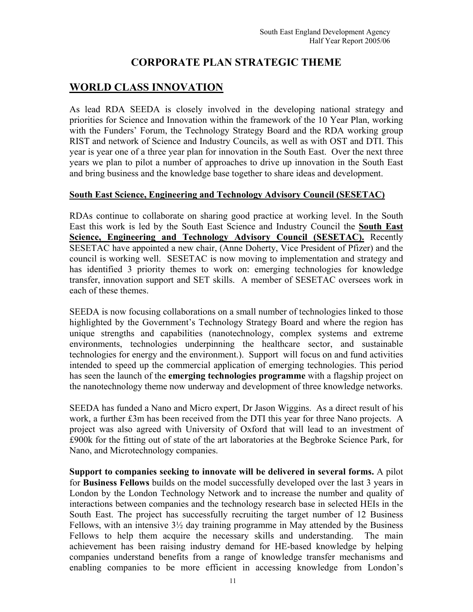## **CORPORATE PLAN STRATEGIC THEME**

## **WORLD CLASS INNOVATION**

As lead RDA SEEDA is closely involved in the developing national strategy and priorities for Science and Innovation within the framework of the 10 Year Plan, working with the Funders' Forum, the Technology Strategy Board and the RDA working group RIST and network of Science and Industry Councils, as well as with OST and DTI. This year is year one of a three year plan for innovation in the South East. Over the next three years we plan to pilot a number of approaches to drive up innovation in the South East and bring business and the knowledge base together to share ideas and development.

#### **South East Science, Engineering and Technology Advisory Council (SESETAC)**

RDAs continue to collaborate on sharing good practice at working level. In the South East this work is led by the South East Science and Industry Council the **South East Science, Engineering and Technology Advisory Council (SESETAC).** Recently SESETAC have appointed a new chair, (Anne Doherty, Vice President of Pfizer) and the council is working well. SESETAC is now moving to implementation and strategy and has identified 3 priority themes to work on: emerging technologies for knowledge transfer, innovation support and SET skills. A member of SESETAC oversees work in each of these themes.

SEEDA is now focusing collaborations on a small number of technologies linked to those highlighted by the Government's Technology Strategy Board and where the region has unique strengths and capabilities (nanotechnology, complex systems and extreme environments, technologies underpinning the healthcare sector, and sustainable technologies for energy and the environment.). Support will focus on and fund activities intended to speed up the commercial application of emerging technologies. This period has seen the launch of the **emerging technologies programme** with a flagship project on the nanotechnology theme now underway and development of three knowledge networks.

SEEDA has funded a Nano and Micro expert, Dr Jason Wiggins. As a direct result of his work, a further £3m has been received from the DTI this year for three Nano projects. A project was also agreed with University of Oxford that will lead to an investment of £900k for the fitting out of state of the art laboratories at the Begbroke Science Park, for Nano, and Microtechnology companies.

**Support to companies seeking to innovate will be delivered in several forms.** A pilot for **Business Fellows** builds on the model successfully developed over the last 3 years in London by the London Technology Network and to increase the number and quality of interactions between companies and the technology research base in selected HEIs in the South East. The project has successfully recruiting the target number of 12 Business Fellows, with an intensive  $3\frac{1}{2}$  day training programme in May attended by the Business Fellows to help them acquire the necessary skills and understanding. The main achievement has been raising industry demand for HE-based knowledge by helping companies understand benefits from a range of knowledge transfer mechanisms and enabling companies to be more efficient in accessing knowledge from London's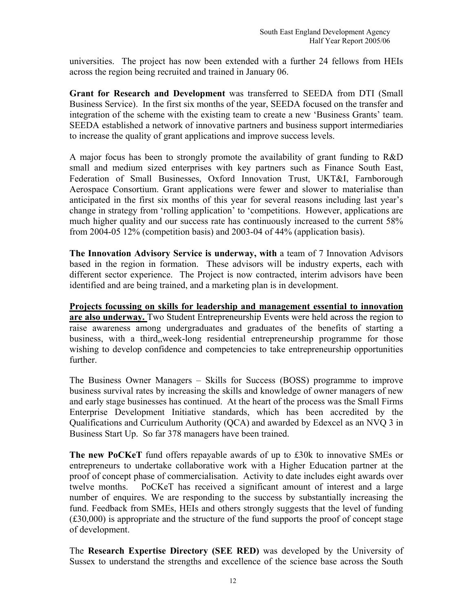universities. The project has now been extended with a further 24 fellows from HEIs across the region being recruited and trained in January 06.

**Grant for Research and Development** was transferred to SEEDA from DTI (Small Business Service). In the first six months of the year, SEEDA focused on the transfer and integration of the scheme with the existing team to create a new 'Business Grants' team. SEEDA established a network of innovative partners and business support intermediaries to increase the quality of grant applications and improve success levels.

A major focus has been to strongly promote the availability of grant funding to R&D small and medium sized enterprises with key partners such as Finance South East, Federation of Small Businesses, Oxford Innovation Trust, UKT&I, Farnborough Aerospace Consortium. Grant applications were fewer and slower to materialise than anticipated in the first six months of this year for several reasons including last year's change in strategy from 'rolling application' to 'competitions. However, applications are much higher quality and our success rate has continuously increased to the current 58% from 2004-05 12% (competition basis) and 2003-04 of 44% (application basis).

**The Innovation Advisory Service is underway, with** a team of 7 Innovation Advisors based in the region in formation. These advisors will be industry experts, each with different sector experience. The Project is now contracted, interim advisors have been identified and are being trained, and a marketing plan is in development.

**Projects focussing on skills for leadership and management essential to innovation are also underway.** Two Student Entrepreneurship Events were held across the region to raise awareness among undergraduates and graduates of the benefits of starting a business, with a third,,week-long residential entrepreneurship programme for those wishing to develop confidence and competencies to take entrepreneurship opportunities further.

The Business Owner Managers – Skills for Success (BOSS) programme to improve business survival rates by increasing the skills and knowledge of owner managers of new and early stage businesses has continued. At the heart of the process was the Small Firms Enterprise Development Initiative standards, which has been accredited by the Qualifications and Curriculum Authority (QCA) and awarded by Edexcel as an NVQ 3 in Business Start Up. So far 378 managers have been trained.

**The new PoCKeT** fund offers repayable awards of up to £30k to innovative SMEs or entrepreneurs to undertake collaborative work with a Higher Education partner at the proof of concept phase of commercialisation. Activity to date includes eight awards over twelve months. PoCKeT has received a significant amount of interest and a large number of enquires. We are responding to the success by substantially increasing the fund. Feedback from SMEs, HEIs and others strongly suggests that the level of funding (£30,000) is appropriate and the structure of the fund supports the proof of concept stage of development.

The **Research Expertise Directory (SEE RED)** was developed by the University of Sussex to understand the strengths and excellence of the science base across the South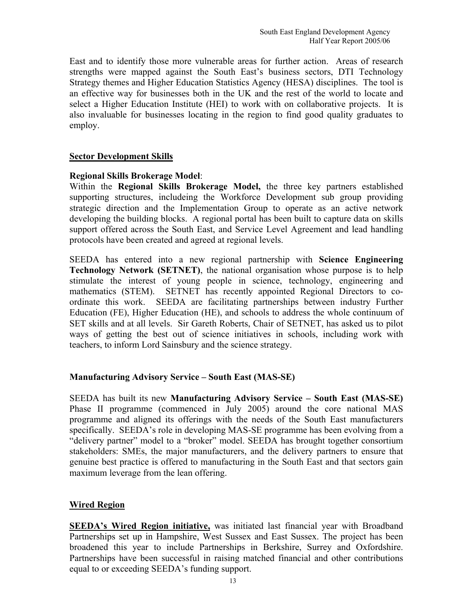East and to identify those more vulnerable areas for further action. Areas of research strengths were mapped against the South East's business sectors, DTI Technology Strategy themes and Higher Education Statistics Agency (HESA) disciplines. The tool is an effective way for businesses both in the UK and the rest of the world to locate and select a Higher Education Institute (HEI) to work with on collaborative projects. It is also invaluable for businesses locating in the region to find good quality graduates to employ.

#### **Sector Development Skills**

#### **Regional Skills Brokerage Model**:

Within the **Regional Skills Brokerage Model,** the three key partners established supporting structures, includeing the Workforce Development sub group providing strategic direction and the Implementation Group to operate as an active network developing the building blocks. A regional portal has been built to capture data on skills support offered across the South East, and Service Level Agreement and lead handling protocols have been created and agreed at regional levels.

SEEDA has entered into a new regional partnership with **Science Engineering Technology Network (SETNET)**, the national organisation whose purpose is to help stimulate the interest of young people in science, technology, engineering and mathematics (STEM). SETNET has recently appointed Regional Directors to coordinate this work. SEEDA are facilitating partnerships between industry Further Education (FE), Higher Education (HE), and schools to address the whole continuum of SET skills and at all levels. Sir Gareth Roberts, Chair of SETNET, has asked us to pilot ways of getting the best out of science initiatives in schools, including work with teachers, to inform Lord Sainsbury and the science strategy.

## **Manufacturing Advisory Service – South East (MAS-SE)**

SEEDA has built its new **Manufacturing Advisory Service – South East (MAS-SE)** Phase II programme (commenced in July 2005) around the core national MAS programme and aligned its offerings with the needs of the South East manufacturers specifically. SEEDA's role in developing MAS-SE programme has been evolving from a "delivery partner" model to a "broker" model. SEEDA has brought together consortium stakeholders: SMEs, the major manufacturers, and the delivery partners to ensure that genuine best practice is offered to manufacturing in the South East and that sectors gain maximum leverage from the lean offering.

#### **Wired Region**

**SEEDA's Wired Region initiative,** was initiated last financial year with Broadband Partnerships set up in Hampshire, West Sussex and East Sussex. The project has been broadened this year to include Partnerships in Berkshire, Surrey and Oxfordshire. Partnerships have been successful in raising matched financial and other contributions equal to or exceeding SEEDA's funding support.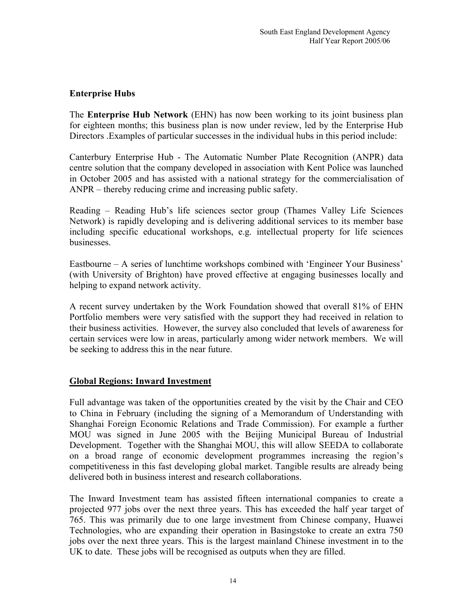## **Enterprise Hubs**

The **Enterprise Hub Network** (EHN) has now been working to its joint business plan for eighteen months; this business plan is now under review, led by the Enterprise Hub Directors .Examples of particular successes in the individual hubs in this period include:

Canterbury Enterprise Hub - The Automatic Number Plate Recognition (ANPR) data centre solution that the company developed in association with Kent Police was launched in October 2005 and has assisted with a national strategy for the commercialisation of ANPR – thereby reducing crime and increasing public safety.

Reading – Reading Hub's life sciences sector group (Thames Valley Life Sciences Network) is rapidly developing and is delivering additional services to its member base including specific educational workshops, e.g. intellectual property for life sciences businesses.

Eastbourne – A series of lunchtime workshops combined with 'Engineer Your Business' (with University of Brighton) have proved effective at engaging businesses locally and helping to expand network activity.

A recent survey undertaken by the Work Foundation showed that overall 81% of EHN Portfolio members were very satisfied with the support they had received in relation to their business activities. However, the survey also concluded that levels of awareness for certain services were low in areas, particularly among wider network members. We will be seeking to address this in the near future.

## **Global Regions: Inward Investment**

Full advantage was taken of the opportunities created by the visit by the Chair and CEO to China in February (including the signing of a Memorandum of Understanding with Shanghai Foreign Economic Relations and Trade Commission). For example a further MOU was signed in June 2005 with the Beijing Municipal Bureau of Industrial Development. Together with the Shanghai MOU, this will allow SEEDA to collaborate on a broad range of economic development programmes increasing the region's competitiveness in this fast developing global market. Tangible results are already being delivered both in business interest and research collaborations.

The Inward Investment team has assisted fifteen international companies to create a projected 977 jobs over the next three years. This has exceeded the half year target of 765. This was primarily due to one large investment from Chinese company, Huawei Technologies, who are expanding their operation in Basingstoke to create an extra 750 jobs over the next three years. This is the largest mainland Chinese investment in to the UK to date. These jobs will be recognised as outputs when they are filled.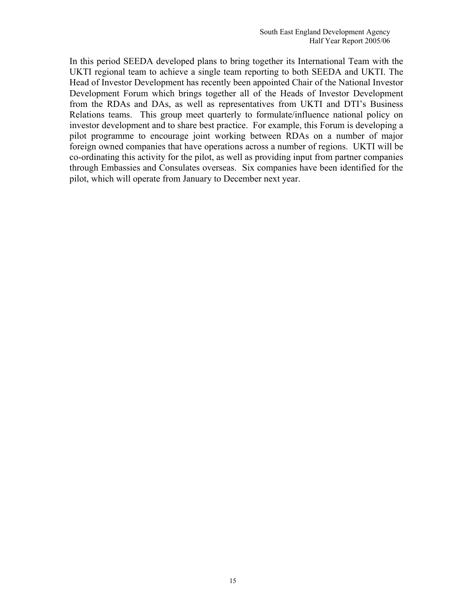In this period SEEDA developed plans to bring together its International Team with the UKTI regional team to achieve a single team reporting to both SEEDA and UKTI. The Head of Investor Development has recently been appointed Chair of the National Investor Development Forum which brings together all of the Heads of Investor Development from the RDAs and DAs, as well as representatives from UKTI and DTI's Business Relations teams. This group meet quarterly to formulate/influence national policy on investor development and to share best practice. For example, this Forum is developing a pilot programme to encourage joint working between RDAs on a number of major foreign owned companies that have operations across a number of regions. UKTI will be co-ordinating this activity for the pilot, as well as providing input from partner companies through Embassies and Consulates overseas. Six companies have been identified for the pilot, which will operate from January to December next year.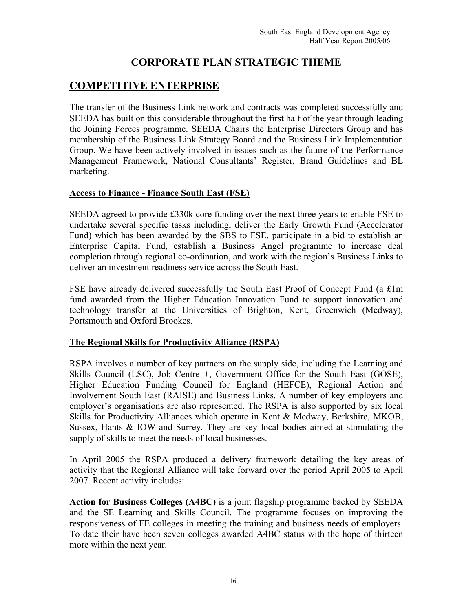## **CORPORATE PLAN STRATEGIC THEME**

## **COMPETITIVE ENTERPRISE**

The transfer of the Business Link network and contracts was completed successfully and SEEDA has built on this considerable throughout the first half of the year through leading the Joining Forces programme. SEEDA Chairs the Enterprise Directors Group and has membership of the Business Link Strategy Board and the Business Link Implementation Group. We have been actively involved in issues such as the future of the Performance Management Framework, National Consultants' Register, Brand Guidelines and BL marketing.

## **Access to Finance - Finance South East (FSE)**

SEEDA agreed to provide £330k core funding over the next three years to enable FSE to undertake several specific tasks including, deliver the Early Growth Fund (Accelerator Fund) which has been awarded by the SBS to FSE, participate in a bid to establish an Enterprise Capital Fund, establish a Business Angel programme to increase deal completion through regional co-ordination, and work with the region's Business Links to deliver an investment readiness service across the South East.

FSE have already delivered successfully the South East Proof of Concept Fund (a £1m fund awarded from the Higher Education Innovation Fund to support innovation and technology transfer at the Universities of Brighton, Kent, Greenwich (Medway), Portsmouth and Oxford Brookes.

## **The Regional Skills for Productivity Alliance (RSPA)**

RSPA involves a number of key partners on the supply side, including the Learning and Skills Council (LSC), Job Centre +, Government Office for the South East (GOSE), Higher Education Funding Council for England (HEFCE), Regional Action and Involvement South East (RAISE) and Business Links. A number of key employers and employer's organisations are also represented. The RSPA is also supported by six local Skills for Productivity Alliances which operate in Kent & Medway, Berkshire, MKOB, Sussex, Hants & IOW and Surrey. They are key local bodies aimed at stimulating the supply of skills to meet the needs of local businesses.

In April 2005 the RSPA produced a delivery framework detailing the key areas of activity that the Regional Alliance will take forward over the period April 2005 to April 2007. Recent activity includes:

**Action for Business Colleges (A4BC)** is a joint flagship programme backed by SEEDA and the SE Learning and Skills Council. The programme focuses on improving the responsiveness of FE colleges in meeting the training and business needs of employers. To date their have been seven colleges awarded A4BC status with the hope of thirteen more within the next year.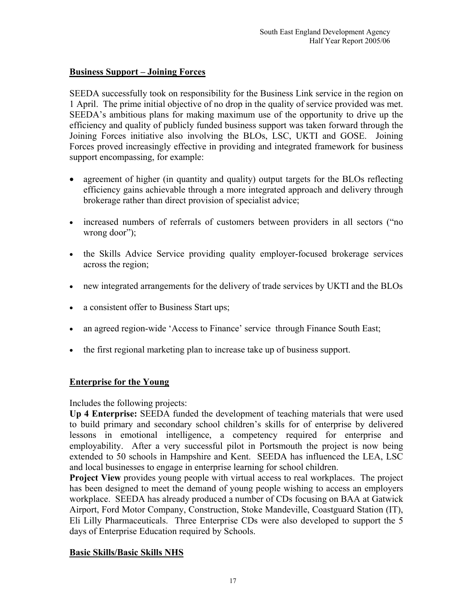## **Business Support – Joining Forces**

SEEDA successfully took on responsibility for the Business Link service in the region on 1 April. The prime initial objective of no drop in the quality of service provided was met. SEEDA's ambitious plans for making maximum use of the opportunity to drive up the efficiency and quality of publicly funded business support was taken forward through the Joining Forces initiative also involving the BLOs, LSC, UKTI and GOSE. Joining Forces proved increasingly effective in providing and integrated framework for business support encompassing, for example:

- agreement of higher (in quantity and quality) output targets for the BLOs reflecting efficiency gains achievable through a more integrated approach and delivery through brokerage rather than direct provision of specialist advice;
- increased numbers of referrals of customers between providers in all sectors ("no wrong door");
- the Skills Advice Service providing quality employer-focused brokerage services across the region;
- new integrated arrangements for the delivery of trade services by UKTI and the BLOs
- a consistent offer to Business Start ups;
- an agreed region-wide 'Access to Finance' service through Finance South East;
- the first regional marketing plan to increase take up of business support.

## **Enterprise for the Young**

Includes the following projects:

**Up 4 Enterprise:** SEEDA funded the development of teaching materials that were used to build primary and secondary school children's skills for of enterprise by delivered lessons in emotional intelligence, a competency required for enterprise and employability. After a very successful pilot in Portsmouth the project is now being extended to 50 schools in Hampshire and Kent. SEEDA has influenced the LEA, LSC and local businesses to engage in enterprise learning for school children.

**Project View** provides young people with virtual access to real workplaces. The project has been designed to meet the demand of young people wishing to access an employers workplace. SEEDA has already produced a number of CDs focusing on BAA at Gatwick Airport, Ford Motor Company, Construction, Stoke Mandeville, Coastguard Station (IT), Eli Lilly Pharmaceuticals. Three Enterprise CDs were also developed to support the 5 days of Enterprise Education required by Schools.

## **Basic Skills/Basic Skills NHS**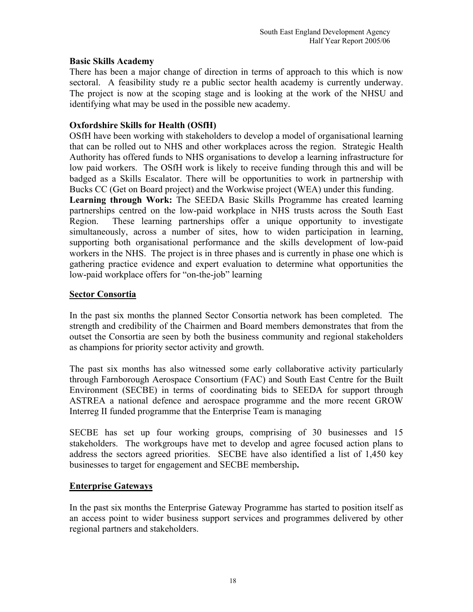## **Basic Skills Academy**

There has been a major change of direction in terms of approach to this which is now sectoral. A feasibility study re a public sector health academy is currently underway. The project is now at the scoping stage and is looking at the work of the NHSU and identifying what may be used in the possible new academy.

## **Oxfordshire Skills for Health (OSfH)**

OSfH have been working with stakeholders to develop a model of organisational learning that can be rolled out to NHS and other workplaces across the region. Strategic Health Authority has offered funds to NHS organisations to develop a learning infrastructure for low paid workers. The OSfH work is likely to receive funding through this and will be badged as a Skills Escalator. There will be opportunities to work in partnership with Bucks CC (Get on Board project) and the Workwise project (WEA) under this funding.

**Learning through Work:** The SEEDA Basic Skills Programme has created learning partnerships centred on the low-paid workplace in NHS trusts across the South East Region. These learning partnerships offer a unique opportunity to investigate simultaneously, across a number of sites, how to widen participation in learning, supporting both organisational performance and the skills development of low-paid workers in the NHS. The project is in three phases and is currently in phase one which is gathering practice evidence and expert evaluation to determine what opportunities the low-paid workplace offers for "on-the-job" learning

## **Sector Consortia**

In the past six months the planned Sector Consortia network has been completed. The strength and credibility of the Chairmen and Board members demonstrates that from the outset the Consortia are seen by both the business community and regional stakeholders as champions for priority sector activity and growth.

The past six months has also witnessed some early collaborative activity particularly through Farnborough Aerospace Consortium (FAC) and South East Centre for the Built Environment (SECBE) in terms of coordinating bids to SEEDA for support through ASTREA a national defence and aerospace programme and the more recent GROW Interreg II funded programme that the Enterprise Team is managing

SECBE has set up four working groups, comprising of 30 businesses and 15 stakeholders. The workgroups have met to develop and agree focused action plans to address the sectors agreed priorities. SECBE have also identified a list of 1,450 key businesses to target for engagement and SECBE membership**.**

## **Enterprise Gateways**

In the past six months the Enterprise Gateway Programme has started to position itself as an access point to wider business support services and programmes delivered by other regional partners and stakeholders.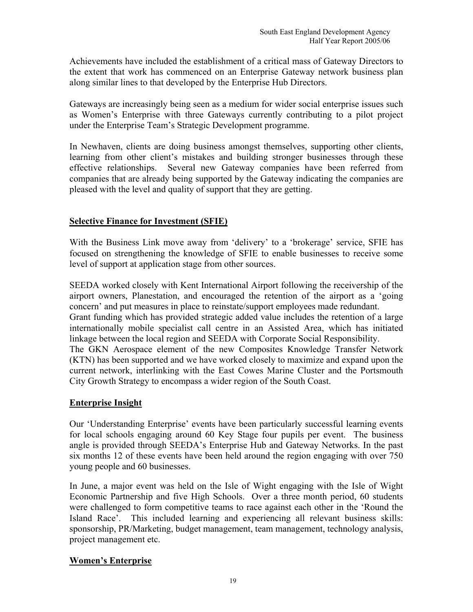Achievements have included the establishment of a critical mass of Gateway Directors to the extent that work has commenced on an Enterprise Gateway network business plan along similar lines to that developed by the Enterprise Hub Directors.

Gateways are increasingly being seen as a medium for wider social enterprise issues such as Women's Enterprise with three Gateways currently contributing to a pilot project under the Enterprise Team's Strategic Development programme.

In Newhaven, clients are doing business amongst themselves, supporting other clients, learning from other client's mistakes and building stronger businesses through these effective relationships. Several new Gateway companies have been referred from companies that are already being supported by the Gateway indicating the companies are pleased with the level and quality of support that they are getting.

## **Selective Finance for Investment (SFIE)**

With the Business Link move away from 'delivery' to a 'brokerage' service, SFIE has focused on strengthening the knowledge of SFIE to enable businesses to receive some level of support at application stage from other sources.

SEEDA worked closely with Kent International Airport following the receivership of the airport owners, Planestation, and encouraged the retention of the airport as a 'going concern' and put measures in place to reinstate/support employees made redundant. Grant funding which has provided strategic added value includes the retention of a large internationally mobile specialist call centre in an Assisted Area, which has initiated linkage between the local region and SEEDA with Corporate Social Responsibility. The GKN Aerospace element of the new Composites Knowledge Transfer Network (KTN) has been supported and we have worked closely to maximize and expand upon the current network, interlinking with the East Cowes Marine Cluster and the Portsmouth City Growth Strategy to encompass a wider region of the South Coast.

#### **Enterprise Insight**

Our 'Understanding Enterprise' events have been particularly successful learning events for local schools engaging around 60 Key Stage four pupils per event. The business angle is provided through SEEDA's Enterprise Hub and Gateway Networks. In the past six months 12 of these events have been held around the region engaging with over 750 young people and 60 businesses.

In June, a major event was held on the Isle of Wight engaging with the Isle of Wight Economic Partnership and five High Schools. Over a three month period, 60 students were challenged to form competitive teams to race against each other in the 'Round the Island Race'. This included learning and experiencing all relevant business skills: sponsorship, PR/Marketing, budget management, team management, technology analysis, project management etc.

## **Women's Enterprise**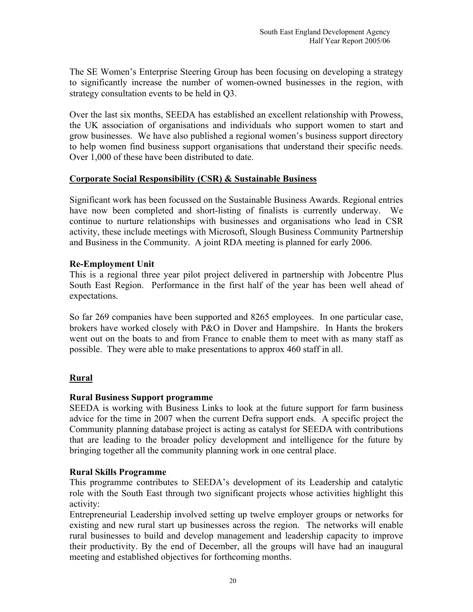The SE Women's Enterprise Steering Group has been focusing on developing a strategy to significantly increase the number of women-owned businesses in the region, with strategy consultation events to be held in Q3.

Over the last six months, SEEDA has established an excellent relationship with Prowess, the UK association of organisations and individuals who support women to start and grow businesses. We have also published a regional women's business support directory to help women find business support organisations that understand their specific needs. Over 1,000 of these have been distributed to date.

#### **Corporate Social Responsibility (CSR) & Sustainable Business**

Significant work has been focussed on the Sustainable Business Awards. Regional entries have now been completed and short-listing of finalists is currently underway. We continue to nurture relationships with businesses and organisations who lead in CSR activity, these include meetings with Microsoft, Slough Business Community Partnership and Business in the Community. A joint RDA meeting is planned for early 2006.

#### **Re-Employment Unit**

This is a regional three year pilot project delivered in partnership with Jobcentre Plus South East Region. Performance in the first half of the year has been well ahead of expectations.

So far 269 companies have been supported and 8265 employees. In one particular case, brokers have worked closely with P&O in Dover and Hampshire. In Hants the brokers went out on the boats to and from France to enable them to meet with as many staff as possible. They were able to make presentations to approx 460 staff in all.

## **Rural**

## **Rural Business Support programme**

SEEDA is working with Business Links to look at the future support for farm business advice for the time in 2007 when the current Defra support ends. A specific project the Community planning database project is acting as catalyst for SEEDA with contributions that are leading to the broader policy development and intelligence for the future by bringing together all the community planning work in one central place.

#### **Rural Skills Programme**

This programme contributes to SEEDA's development of its Leadership and catalytic role with the South East through two significant projects whose activities highlight this activity:

Entrepreneurial Leadership involved setting up twelve employer groups or networks for existing and new rural start up businesses across the region. The networks will enable rural businesses to build and develop management and leadership capacity to improve their productivity. By the end of December, all the groups will have had an inaugural meeting and established objectives for forthcoming months.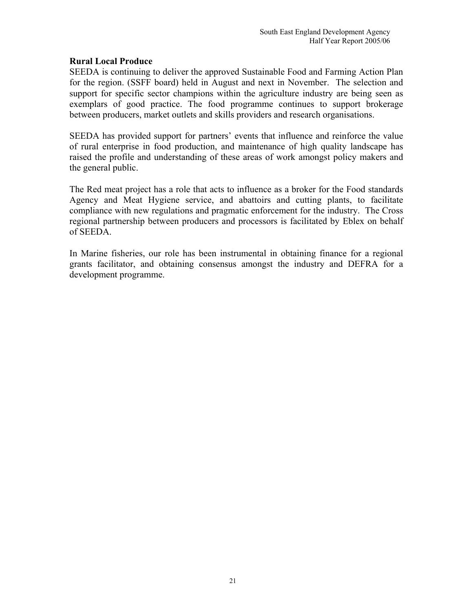### **Rural Local Produce**

SEEDA is continuing to deliver the approved Sustainable Food and Farming Action Plan for the region. (SSFF board) held in August and next in November. The selection and support for specific sector champions within the agriculture industry are being seen as exemplars of good practice. The food programme continues to support brokerage between producers, market outlets and skills providers and research organisations.

SEEDA has provided support for partners' events that influence and reinforce the value of rural enterprise in food production, and maintenance of high quality landscape has raised the profile and understanding of these areas of work amongst policy makers and the general public.

The Red meat project has a role that acts to influence as a broker for the Food standards Agency and Meat Hygiene service, and abattoirs and cutting plants, to facilitate compliance with new regulations and pragmatic enforcement for the industry. The Cross regional partnership between producers and processors is facilitated by Eblex on behalf of SEEDA.

In Marine fisheries, our role has been instrumental in obtaining finance for a regional grants facilitator, and obtaining consensus amongst the industry and DEFRA for a development programme.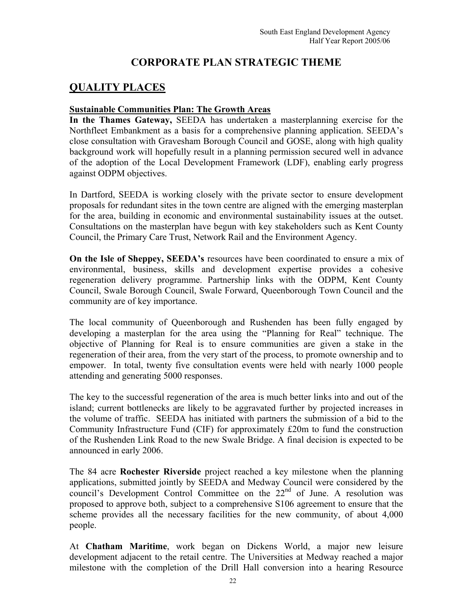## **CORPORATE PLAN STRATEGIC THEME**

## **QUALITY PLACES**

#### **Sustainable Communities Plan: The Growth Areas**

**In the Thames Gateway,** SEEDA has undertaken a masterplanning exercise for the Northfleet Embankment as a basis for a comprehensive planning application. SEEDA's close consultation with Gravesham Borough Council and GOSE, along with high quality background work will hopefully result in a planning permission secured well in advance of the adoption of the Local Development Framework (LDF), enabling early progress against ODPM objectives.

In Dartford, SEEDA is working closely with the private sector to ensure development proposals for redundant sites in the town centre are aligned with the emerging masterplan for the area, building in economic and environmental sustainability issues at the outset. Consultations on the masterplan have begun with key stakeholders such as Kent County Council, the Primary Care Trust, Network Rail and the Environment Agency.

**On the Isle of Sheppey, SEEDA's** resources have been coordinated to ensure a mix of environmental, business, skills and development expertise provides a cohesive regeneration delivery programme. Partnership links with the ODPM, Kent County Council, Swale Borough Council, Swale Forward, Queenborough Town Council and the community are of key importance.

The local community of Queenborough and Rushenden has been fully engaged by developing a masterplan for the area using the "Planning for Real" technique. The objective of Planning for Real is to ensure communities are given a stake in the regeneration of their area, from the very start of the process, to promote ownership and to empower. In total, twenty five consultation events were held with nearly 1000 people attending and generating 5000 responses.

The key to the successful regeneration of the area is much better links into and out of the island; current bottlenecks are likely to be aggravated further by projected increases in the volume of traffic. SEEDA has initiated with partners the submission of a bid to the Community Infrastructure Fund (CIF) for approximately £20m to fund the construction of the Rushenden Link Road to the new Swale Bridge. A final decision is expected to be announced in early 2006.

The 84 acre **Rochester Riverside** project reached a key milestone when the planning applications, submitted jointly by SEEDA and Medway Council were considered by the council's Development Control Committee on the 22<sup>nd</sup> of June. A resolution was proposed to approve both, subject to a comprehensive S106 agreement to ensure that the scheme provides all the necessary facilities for the new community, of about 4,000 people.

At **Chatham Maritime**, work began on Dickens World, a major new leisure development adjacent to the retail centre. The Universities at Medway reached a major milestone with the completion of the Drill Hall conversion into a hearing Resource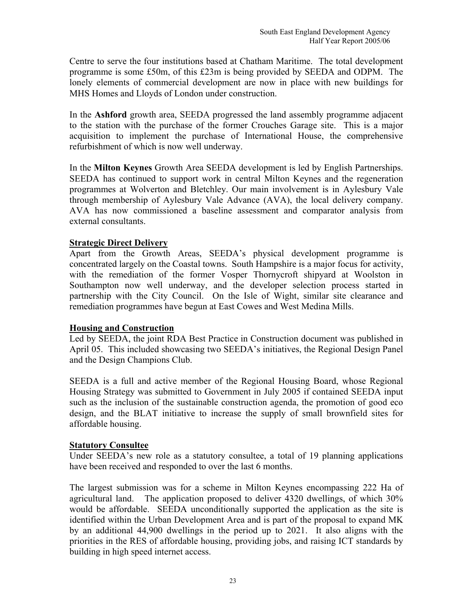Centre to serve the four institutions based at Chatham Maritime. The total development programme is some £50m, of this £23m is being provided by SEEDA and ODPM. The lonely elements of commercial development are now in place with new buildings for MHS Homes and Lloyds of London under construction.

In the **Ashford** growth area, SEEDA progressed the land assembly programme adjacent to the station with the purchase of the former Crouches Garage site. This is a major acquisition to implement the purchase of International House, the comprehensive refurbishment of which is now well underway.

In the **Milton Keynes** Growth Area SEEDA development is led by English Partnerships. SEEDA has continued to support work in central Milton Keynes and the regeneration programmes at Wolverton and Bletchley. Our main involvement is in Aylesbury Vale through membership of Aylesbury Vale Advance (AVA), the local delivery company. AVA has now commissioned a baseline assessment and comparator analysis from external consultants.

#### **Strategic Direct Delivery**

Apart from the Growth Areas, SEEDA's physical development programme is concentrated largely on the Coastal towns. South Hampshire is a major focus for activity, with the remediation of the former Vosper Thornycroft shipyard at Woolston in Southampton now well underway, and the developer selection process started in partnership with the City Council. On the Isle of Wight, similar site clearance and remediation programmes have begun at East Cowes and West Medina Mills.

## **Housing and Construction**

Led by SEEDA, the joint RDA Best Practice in Construction document was published in April 05. This included showcasing two SEEDA's initiatives, the Regional Design Panel and the Design Champions Club.

SEEDA is a full and active member of the Regional Housing Board, whose Regional Housing Strategy was submitted to Government in July 2005 if contained SEEDA input such as the inclusion of the sustainable construction agenda, the promotion of good eco design, and the BLAT initiative to increase the supply of small brownfield sites for affordable housing.

## **Statutory Consultee**

Under SEEDA's new role as a statutory consultee, a total of 19 planning applications have been received and responded to over the last 6 months.

The largest submission was for a scheme in Milton Keynes encompassing 222 Ha of agricultural land. The application proposed to deliver 4320 dwellings, of which 30% would be affordable. SEEDA unconditionally supported the application as the site is identified within the Urban Development Area and is part of the proposal to expand MK by an additional 44,900 dwellings in the period up to 2021. It also aligns with the priorities in the RES of affordable housing, providing jobs, and raising ICT standards by building in high speed internet access.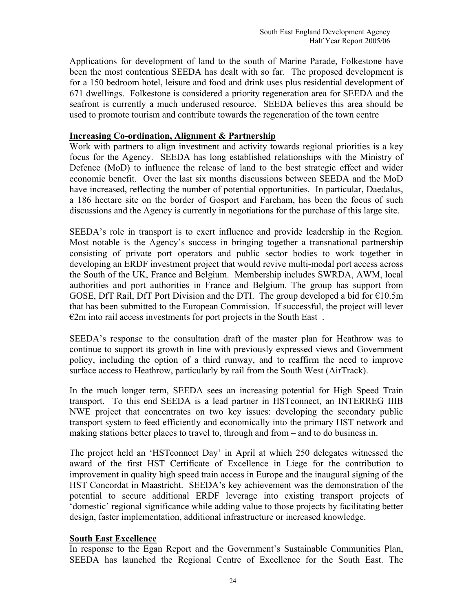Applications for development of land to the south of Marine Parade, Folkestone have been the most contentious SEEDA has dealt with so far. The proposed development is for a 150 bedroom hotel, leisure and food and drink uses plus residential development of 671 dwellings. Folkestone is considered a priority regeneration area for SEEDA and the seafront is currently a much underused resource. SEEDA believes this area should be used to promote tourism and contribute towards the regeneration of the town centre

### **Increasing Co-ordination, Alignment & Partnership**

Work with partners to align investment and activity towards regional priorities is a key focus for the Agency. SEEDA has long established relationships with the Ministry of Defence (MoD) to influence the release of land to the best strategic effect and wider economic benefit. Over the last six months discussions between SEEDA and the MoD have increased, reflecting the number of potential opportunities. In particular, Daedalus, a 186 hectare site on the border of Gosport and Fareham, has been the focus of such discussions and the Agency is currently in negotiations for the purchase of this large site.

SEEDA's role in transport is to exert influence and provide leadership in the Region. Most notable is the Agency's success in bringing together a transnational partnership consisting of private port operators and public sector bodies to work together in developing an ERDF investment project that would revive multi-modal port access across the South of the UK, France and Belgium. Membership includes SWRDA, AWM, local authorities and port authorities in France and Belgium. The group has support from GOSE, DfT Rail, DfT Port Division and the DTI. The group developed a bid for  $\epsilon$ 10.5m that has been submitted to the European Commission. If successful, the project will lever  $E2m$  into rail access investments for port projects in the South East.

SEEDA's response to the consultation draft of the master plan for Heathrow was to continue to support its growth in line with previously expressed views and Government policy, including the option of a third runway, and to reaffirm the need to improve surface access to Heathrow, particularly by rail from the South West (AirTrack).

In the much longer term, SEEDA sees an increasing potential for High Speed Train transport. To this end SEEDA is a lead partner in HSTconnect, an INTERREG IIIB NWE project that concentrates on two key issues: developing the secondary public transport system to feed efficiently and economically into the primary HST network and making stations better places to travel to, through and from – and to do business in.

The project held an 'HSTconnect Day' in April at which 250 delegates witnessed the award of the first HST Certificate of Excellence in Liege for the contribution to improvement in quality high speed train access in Europe and the inaugural signing of the HST Concordat in Maastricht. SEEDA's key achievement was the demonstration of the potential to secure additional ERDF leverage into existing transport projects of 'domestic' regional significance while adding value to those projects by facilitating better design, faster implementation, additional infrastructure or increased knowledge.

#### **South East Excellence**

In response to the Egan Report and the Government's Sustainable Communities Plan, SEEDA has launched the Regional Centre of Excellence for the South East. The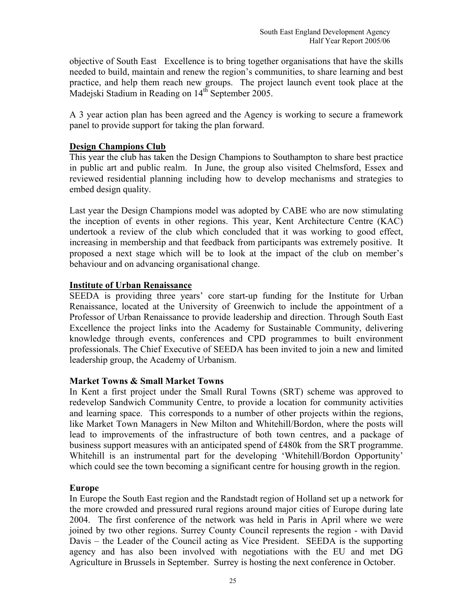objective of South East Excellence is to bring together organisations that have the skills needed to build, maintain and renew the region's communities, to share learning and best practice, and help them reach new groups. The project launch event took place at the Madeiski Stadium in Reading on 14<sup>th</sup> September 2005.

A 3 year action plan has been agreed and the Agency is working to secure a framework panel to provide support for taking the plan forward.

### **Design Champions Club**

This year the club has taken the Design Champions to Southampton to share best practice in public art and public realm. In June, the group also visited Chelmsford, Essex and reviewed residential planning including how to develop mechanisms and strategies to embed design quality.

Last year the Design Champions model was adopted by CABE who are now stimulating the inception of events in other regions. This year, Kent Architecture Centre (KAC) undertook a review of the club which concluded that it was working to good effect, increasing in membership and that feedback from participants was extremely positive. It proposed a next stage which will be to look at the impact of the club on member's behaviour and on advancing organisational change.

#### **Institute of Urban Renaissance**

SEEDA is providing three years' core start-up funding for the Institute for Urban Renaissance, located at the University of Greenwich to include the appointment of a Professor of Urban Renaissance to provide leadership and direction. Through South East Excellence the project links into the Academy for Sustainable Community, delivering knowledge through events, conferences and CPD programmes to built environment professionals. The Chief Executive of SEEDA has been invited to join a new and limited leadership group, the Academy of Urbanism.

#### **Market Towns & Small Market Towns**

In Kent a first project under the Small Rural Towns (SRT) scheme was approved to redevelop Sandwich Community Centre, to provide a location for community activities and learning space. This corresponds to a number of other projects within the regions, like Market Town Managers in New Milton and Whitehill/Bordon, where the posts will lead to improvements of the infrastructure of both town centres, and a package of business support measures with an anticipated spend of £480k from the SRT programme. Whitehill is an instrumental part for the developing 'Whitehill/Bordon Opportunity' which could see the town becoming a significant centre for housing growth in the region.

#### **Europe**

In Europe the South East region and the Randstadt region of Holland set up a network for the more crowded and pressured rural regions around major cities of Europe during late 2004. The first conference of the network was held in Paris in April where we were joined by two other regions. Surrey County Council represents the region - with David Davis – the Leader of the Council acting as Vice President. SEEDA is the supporting agency and has also been involved with negotiations with the EU and met DG Agriculture in Brussels in September. Surrey is hosting the next conference in October.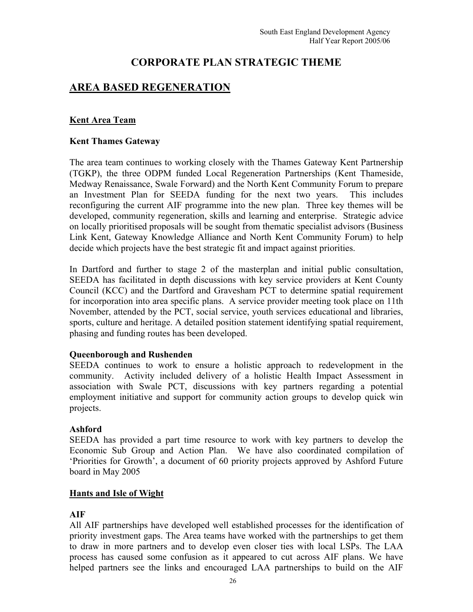## **CORPORATE PLAN STRATEGIC THEME**

## **AREA BASED REGENERATION**

#### **Kent Area Team**

#### **Kent Thames Gateway**

The area team continues to working closely with the Thames Gateway Kent Partnership (TGKP), the three ODPM funded Local Regeneration Partnerships (Kent Thameside, Medway Renaissance, Swale Forward) and the North Kent Community Forum to prepare an Investment Plan for SEEDA funding for the next two years. This includes reconfiguring the current AIF programme into the new plan. Three key themes will be developed, community regeneration, skills and learning and enterprise. Strategic advice on locally prioritised proposals will be sought from thematic specialist advisors (Business Link Kent, Gateway Knowledge Alliance and North Kent Community Forum) to help decide which projects have the best strategic fit and impact against priorities.

In Dartford and further to stage 2 of the masterplan and initial public consultation, SEEDA has facilitated in depth discussions with key service providers at Kent County Council (KCC) and the Dartford and Gravesham PCT to determine spatial requirement for incorporation into area specific plans. A service provider meeting took place on 11th November, attended by the PCT, social service, youth services educational and libraries, sports, culture and heritage. A detailed position statement identifying spatial requirement, phasing and funding routes has been developed.

#### **Queenborough and Rushenden**

SEEDA continues to work to ensure a holistic approach to redevelopment in the community. Activity included delivery of a holistic Health Impact Assessment in association with Swale PCT, discussions with key partners regarding a potential employment initiative and support for community action groups to develop quick win projects.

#### **Ashford**

SEEDA has provided a part time resource to work with key partners to develop the Economic Sub Group and Action Plan. We have also coordinated compilation of 'Priorities for Growth', a document of 60 priority projects approved by Ashford Future board in May 2005

#### **Hants and Isle of Wight**

#### **AIF**

All AIF partnerships have developed well established processes for the identification of priority investment gaps. The Area teams have worked with the partnerships to get them to draw in more partners and to develop even closer ties with local LSPs. The LAA process has caused some confusion as it appeared to cut across AIF plans. We have helped partners see the links and encouraged LAA partnerships to build on the AIF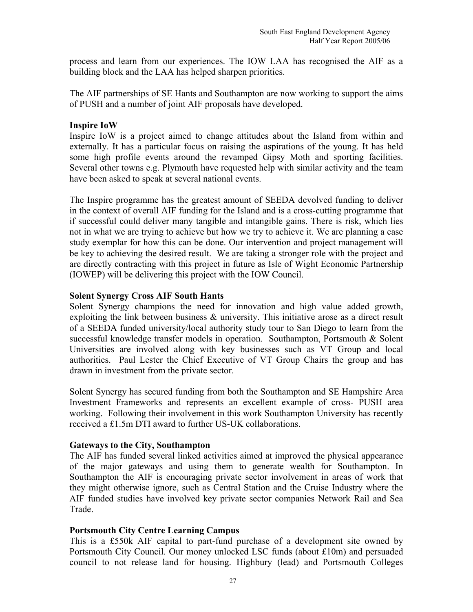process and learn from our experiences. The IOW LAA has recognised the AIF as a building block and the LAA has helped sharpen priorities.

The AIF partnerships of SE Hants and Southampton are now working to support the aims of PUSH and a number of joint AIF proposals have developed.

#### **Inspire IoW**

Inspire IoW is a project aimed to change attitudes about the Island from within and externally. It has a particular focus on raising the aspirations of the young. It has held some high profile events around the revamped Gipsy Moth and sporting facilities. Several other towns e.g. Plymouth have requested help with similar activity and the team have been asked to speak at several national events.

The Inspire programme has the greatest amount of SEEDA devolved funding to deliver in the context of overall AIF funding for the Island and is a cross-cutting programme that if successful could deliver many tangible and intangible gains. There is risk, which lies not in what we are trying to achieve but how we try to achieve it. We are planning a case study exemplar for how this can be done. Our intervention and project management will be key to achieving the desired result. We are taking a stronger role with the project and are directly contracting with this project in future as Isle of Wight Economic Partnership (IOWEP) will be delivering this project with the IOW Council.

#### **Solent Synergy Cross AIF South Hants**

Solent Synergy champions the need for innovation and high value added growth, exploiting the link between business & university. This initiative arose as a direct result of a SEEDA funded university/local authority study tour to San Diego to learn from the successful knowledge transfer models in operation. Southampton, Portsmouth & Solent Universities are involved along with key businesses such as VT Group and local authorities. Paul Lester the Chief Executive of VT Group Chairs the group and has drawn in investment from the private sector.

Solent Synergy has secured funding from both the Southampton and SE Hampshire Area Investment Frameworks and represents an excellent example of cross- PUSH area working. Following their involvement in this work Southampton University has recently received a £1.5m DTI award to further US-UK collaborations.

## **Gateways to the City, Southampton**

The AIF has funded several linked activities aimed at improved the physical appearance of the major gateways and using them to generate wealth for Southampton. In Southampton the AIF is encouraging private sector involvement in areas of work that they might otherwise ignore, such as Central Station and the Cruise Industry where the AIF funded studies have involved key private sector companies Network Rail and Sea Trade.

## **Portsmouth City Centre Learning Campus**

This is a £550k AIF capital to part-fund purchase of a development site owned by Portsmouth City Council. Our money unlocked LSC funds (about £10m) and persuaded council to not release land for housing. Highbury (lead) and Portsmouth Colleges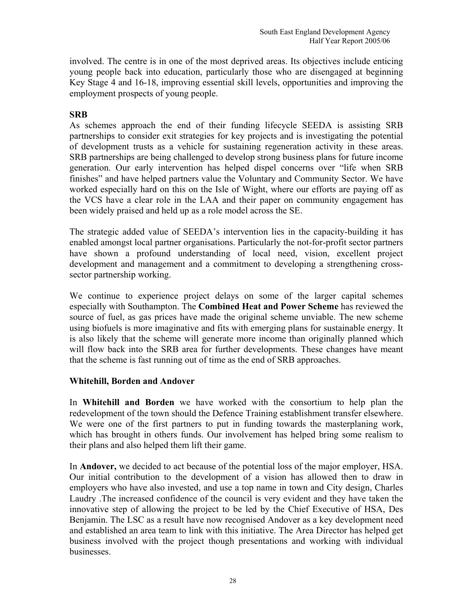involved. The centre is in one of the most deprived areas. Its objectives include enticing young people back into education, particularly those who are disengaged at beginning Key Stage 4 and 16-18, improving essential skill levels, opportunities and improving the employment prospects of young people.

## **SRB**

As schemes approach the end of their funding lifecycle SEEDA is assisting SRB partnerships to consider exit strategies for key projects and is investigating the potential of development trusts as a vehicle for sustaining regeneration activity in these areas. SRB partnerships are being challenged to develop strong business plans for future income generation. Our early intervention has helped dispel concerns over "life when SRB finishes" and have helped partners value the Voluntary and Community Sector. We have worked especially hard on this on the Isle of Wight, where our efforts are paying off as the VCS have a clear role in the LAA and their paper on community engagement has been widely praised and held up as a role model across the SE.

The strategic added value of SEEDA's intervention lies in the capacity-building it has enabled amongst local partner organisations. Particularly the not-for-profit sector partners have shown a profound understanding of local need, vision, excellent project development and management and a commitment to developing a strengthening crosssector partnership working.

We continue to experience project delays on some of the larger capital schemes especially with Southampton. The **Combined Heat and Power Scheme** has reviewed the source of fuel, as gas prices have made the original scheme unviable. The new scheme using biofuels is more imaginative and fits with emerging plans for sustainable energy. It is also likely that the scheme will generate more income than originally planned which will flow back into the SRB area for further developments. These changes have meant that the scheme is fast running out of time as the end of SRB approaches.

## **Whitehill, Borden and Andover**

In **Whitehill and Borden** we have worked with the consortium to help plan the redevelopment of the town should the Defence Training establishment transfer elsewhere. We were one of the first partners to put in funding towards the masterplaning work, which has brought in others funds. Our involvement has helped bring some realism to their plans and also helped them lift their game.

In **Andover,** we decided to act because of the potential loss of the major employer, HSA. Our initial contribution to the development of a vision has allowed then to draw in employers who have also invested, and use a top name in town and City design, Charles Laudry .The increased confidence of the council is very evident and they have taken the innovative step of allowing the project to be led by the Chief Executive of HSA, Des Benjamin. The LSC as a result have now recognised Andover as a key development need and established an area team to link with this initiative. The Area Director has helped get business involved with the project though presentations and working with individual businesses.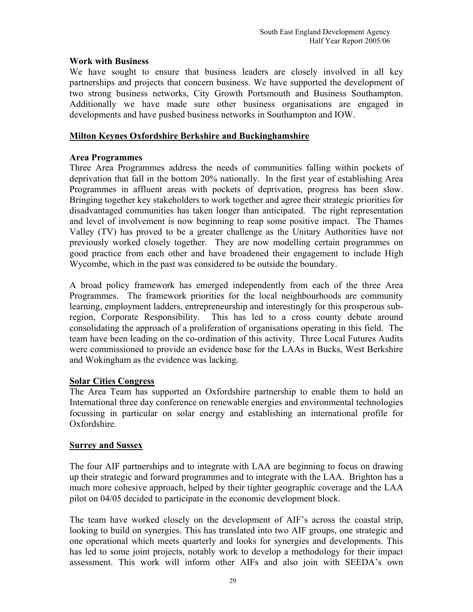## **Work with Business**

We have sought to ensure that business leaders are closely involved in all key partnerships and projects that concern business. We have supported the development of two strong business networks, City Growth Portsmouth and Business Southampton. Additionally we have made sure other business organisations are engaged in developments and have pushed business networks in Southampton and IOW.

### **Milton Keynes Oxfordshire Berkshire and Buckinghamshire**

#### **Area Programmes**

Three Area Programmes address the needs of communities falling within pockets of deprivation that fall in the bottom 20% nationally. In the first year of establishing Area Programmes in affluent areas with pockets of deprivation, progress has been slow. Bringing together key stakeholders to work together and agree their strategic priorities for disadvantaged communities has taken longer than anticipated. The right representation and level of involvement is now beginning to reap some positive impact. The Thames Valley (TV) has proved to be a greater challenge as the Unitary Authorities have not previously worked closely together. They are now modelling certain programmes on good practice from each other and have broadened their engagement to include High Wycombe, which in the past was considered to be outside the boundary.

A broad policy framework has emerged independently from each of the three Area Programmes. The framework priorities for the local neighbourhoods are community learning, employment ladders, entrepreneurship and interestingly for this prosperous subregion, Corporate Responsibility. This has led to a cross county debate around consolidating the approach of a proliferation of organisations operating in this field. The team have been leading on the co-ordination of this activity.Three Local Futures Audits were commissioned to provide an evidence base for the LAAs in Bucks, West Berkshire and Wokingham as the evidence was lacking.

## **Solar Cities Congress**

The Area Team has supported an Oxfordshire partnership to enable them to hold an International three day conference on renewable energies and environmental technologies focussing in particular on solar energy and establishing an international profile for Oxfordshire.

## **Surrey and Sussex**

The four AIF partnerships and to integrate with LAA are beginning to focus on drawing up their strategic and forward programmes and to integrate with the LAA. Brighton has a much more cohesive approach, helped by their tighter geographic coverage and the LAA pilot on 04/05 decided to participate in the economic development block.

The team have worked closely on the development of AIF's across the coastal strip, looking to build on synergies. This has translated into two AIF groups, one strategic and one operational which meets quarterly and looks for synergies and developments. This has led to some joint projects, notably work to develop a methodology for their impact assessment. This work will inform other AIFs and also join with SEEDA's own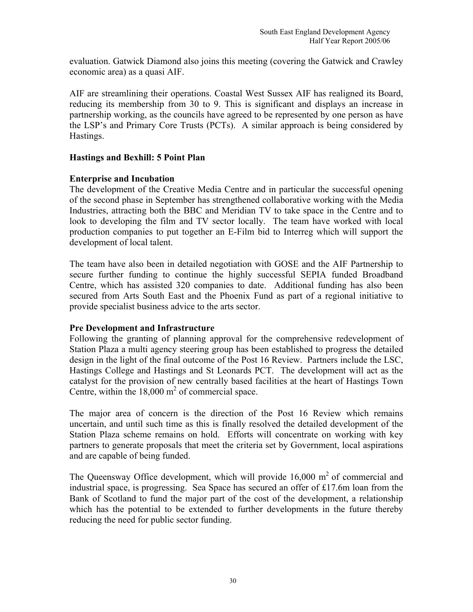evaluation. Gatwick Diamond also joins this meeting (covering the Gatwick and Crawley economic area) as a quasi AIF.

AIF are streamlining their operations. Coastal West Sussex AIF has realigned its Board, reducing its membership from 30 to 9. This is significant and displays an increase in partnership working, as the councils have agreed to be represented by one person as have the LSP's and Primary Core Trusts (PCTs). A similar approach is being considered by Hastings.

#### **Hastings and Bexhill: 5 Point Plan**

#### **Enterprise and Incubation**

The development of the Creative Media Centre and in particular the successful opening of the second phase in September has strengthened collaborative working with the Media Industries, attracting both the BBC and Meridian TV to take space in the Centre and to look to developing the film and TV sector locally. The team have worked with local production companies to put together an E-Film bid to Interreg which will support the development of local talent.

The team have also been in detailed negotiation with GOSE and the AIF Partnership to secure further funding to continue the highly successful SEPIA funded Broadband Centre, which has assisted 320 companies to date. Additional funding has also been secured from Arts South East and the Phoenix Fund as part of a regional initiative to provide specialist business advice to the arts sector.

## **Pre Development and Infrastructure**

Following the granting of planning approval for the comprehensive redevelopment of Station Plaza a multi agency steering group has been established to progress the detailed design in the light of the final outcome of the Post 16 Review. Partners include the LSC, Hastings College and Hastings and St Leonards PCT. The development will act as the catalyst for the provision of new centrally based facilities at the heart of Hastings Town Centre, within the  $18,000 \text{ m}^2$  of commercial space.

The major area of concern is the direction of the Post 16 Review which remains uncertain, and until such time as this is finally resolved the detailed development of the Station Plaza scheme remains on hold. Efforts will concentrate on working with key partners to generate proposals that meet the criteria set by Government, local aspirations and are capable of being funded.

The Queensway Office development, which will provide  $16,000 \text{ m}^2$  of commercial and industrial space, is progressing. Sea Space has secured an offer of £17.6m loan from the Bank of Scotland to fund the major part of the cost of the development, a relationship which has the potential to be extended to further developments in the future thereby reducing the need for public sector funding.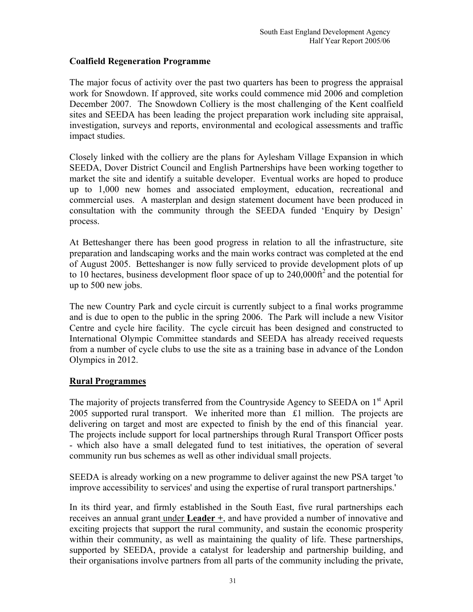## **Coalfield Regeneration Programme**

The major focus of activity over the past two quarters has been to progress the appraisal work for Snowdown. If approved, site works could commence mid 2006 and completion December 2007. The Snowdown Colliery is the most challenging of the Kent coalfield sites and SEEDA has been leading the project preparation work including site appraisal, investigation, surveys and reports, environmental and ecological assessments and traffic impact studies.

Closely linked with the colliery are the plans for Aylesham Village Expansion in which SEEDA, Dover District Council and English Partnerships have been working together to market the site and identify a suitable developer. Eventual works are hoped to produce up to 1,000 new homes and associated employment, education, recreational and commercial uses. A masterplan and design statement document have been produced in consultation with the community through the SEEDA funded 'Enquiry by Design' process.

At Betteshanger there has been good progress in relation to all the infrastructure, site preparation and landscaping works and the main works contract was completed at the end of August 2005. Betteshanger is now fully serviced to provide development plots of up to 10 hectares, business development floor space of up to  $240,000$  ft<sup>2</sup> and the potential for up to 500 new jobs.

The new Country Park and cycle circuit is currently subject to a final works programme and is due to open to the public in the spring 2006. The Park will include a new Visitor Centre and cycle hire facility. The cycle circuit has been designed and constructed to International Olympic Committee standards and SEEDA has already received requests from a number of cycle clubs to use the site as a training base in advance of the London Olympics in 2012.

## **Rural Programmes**

The majority of projects transferred from the Countryside Agency to SEEDA on 1<sup>st</sup> April 2005 supported rural transport. We inherited more than £1 million. The projects are delivering on target and most are expected to finish by the end of this financial year. The projects include support for local partnerships through Rural Transport Officer posts - which also have a small delegated fund to test initiatives, the operation of several community run bus schemes as well as other individual small projects.

SEEDA is already working on a new programme to deliver against the new PSA target 'to improve accessibility to services' and using the expertise of rural transport partnerships.'

In its third year, and firmly established in the South East, five rural partnerships each receives an annual grant under **Leader +**, and have provided a number of innovative and exciting projects that support the rural community, and sustain the economic prosperity within their community, as well as maintaining the quality of life. These partnerships, supported by SEEDA, provide a catalyst for leadership and partnership building, and their organisations involve partners from all parts of the community including the private,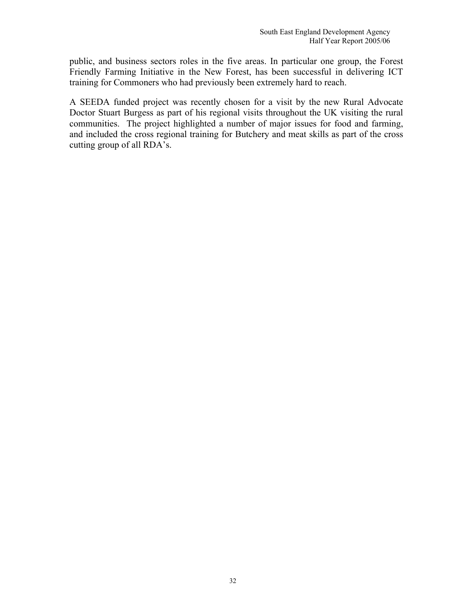public, and business sectors roles in the five areas. In particular one group, the Forest Friendly Farming Initiative in the New Forest, has been successful in delivering ICT training for Commoners who had previously been extremely hard to reach.

A SEEDA funded project was recently chosen for a visit by the new Rural Advocate Doctor Stuart Burgess as part of his regional visits throughout the UK visiting the rural communities. The project highlighted a number of major issues for food and farming, and included the cross regional training for Butchery and meat skills as part of the cross cutting group of all RDA's.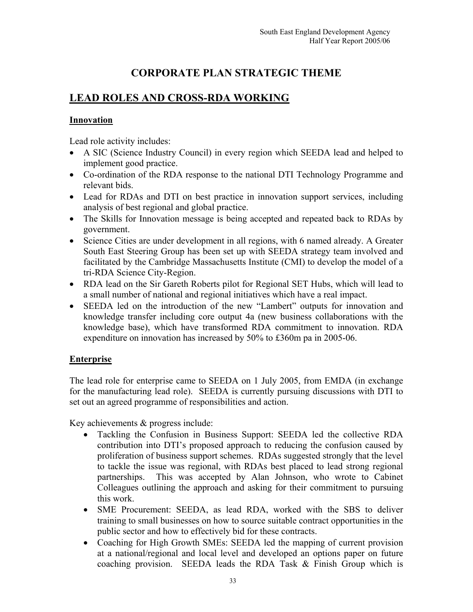## **CORPORATE PLAN STRATEGIC THEME**

## **LEAD ROLES AND CROSS-RDA WORKING**

## **Innovation**

Lead role activity includes:

- A SIC (Science Industry Council) in every region which SEEDA lead and helped to implement good practice.
- Co-ordination of the RDA response to the national DTI Technology Programme and relevant bids.
- Lead for RDAs and DTI on best practice in innovation support services, including analysis of best regional and global practice.
- The Skills for Innovation message is being accepted and repeated back to RDAs by government.
- Science Cities are under development in all regions, with 6 named already. A Greater South East Steering Group has been set up with SEEDA strategy team involved and facilitated by the Cambridge Massachusetts Institute (CMI) to develop the model of a tri-RDA Science City-Region.
- RDA lead on the Sir Gareth Roberts pilot for Regional SET Hubs, which will lead to a small number of national and regional initiatives which have a real impact.
- SEEDA led on the introduction of the new "Lambert" outputs for innovation and knowledge transfer including core output 4a (new business collaborations with the knowledge base), which have transformed RDA commitment to innovation. RDA expenditure on innovation has increased by 50% to £360m pa in 2005-06.

## **Enterprise**

The lead role for enterprise came to SEEDA on 1 July 2005, from EMDA (in exchange for the manufacturing lead role). SEEDA is currently pursuing discussions with DTI to set out an agreed programme of responsibilities and action.

Key achievements & progress include:

- Tackling the Confusion in Business Support: SEEDA led the collective RDA contribution into DTI's proposed approach to reducing the confusion caused by proliferation of business support schemes. RDAs suggested strongly that the level to tackle the issue was regional, with RDAs best placed to lead strong regional partnerships. This was accepted by Alan Johnson, who wrote to Cabinet Colleagues outlining the approach and asking for their commitment to pursuing this work.
- SME Procurement: SEEDA, as lead RDA, worked with the SBS to deliver training to small businesses on how to source suitable contract opportunities in the public sector and how to effectively bid for these contracts.
- Coaching for High Growth SMEs: SEEDA led the mapping of current provision at a national/regional and local level and developed an options paper on future coaching provision. SEEDA leads the RDA Task & Finish Group which is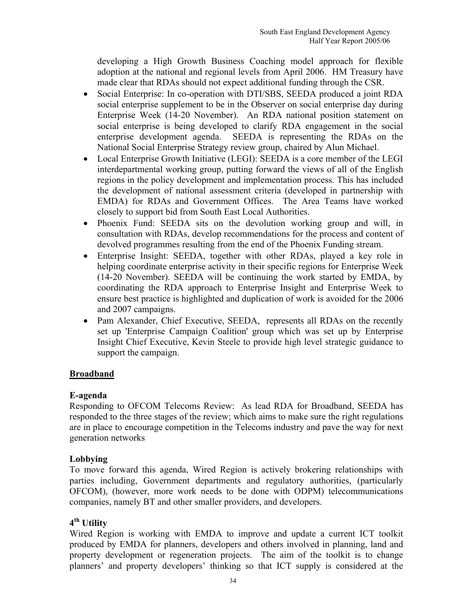developing a High Growth Business Coaching model approach for flexible adoption at the national and regional levels from April 2006. HM Treasury have made clear that RDAs should not expect additional funding through the CSR.

- Social Enterprise: In co-operation with DTI/SBS, SEEDA produced a joint RDA social enterprise supplement to be in the Observer on social enterprise day during Enterprise Week (14-20 November). An RDA national position statement on social enterprise is being developed to clarify RDA engagement in the social enterprise development agenda. SEEDA is representing the RDAs on the National Social Enterprise Strategy review group, chaired by Alun Michael.
- Local Enterprise Growth Initiative (LEGI): SEEDA is a core member of the LEGI interdepartmental working group, putting forward the views of all of the English regions in the policy development and implementation process. This has included the development of national assessment criteria (developed in partnership with EMDA) for RDAs and Government Offices. The Area Teams have worked closely to support bid from South East Local Authorities.
- Phoenix Fund: SEEDA sits on the devolution working group and will, in consultation with RDAs, develop recommendations for the process and content of devolved programmes resulting from the end of the Phoenix Funding stream.
- Enterprise Insight: SEEDA, together with other RDAs, played a key role in helping coordinate enterprise activity in their specific regions for Enterprise Week (14-20 November). SEEDA will be continuing the work started by EMDA, by coordinating the RDA approach to Enterprise Insight and Enterprise Week to ensure best practice is highlighted and duplication of work is avoided for the 2006 and 2007 campaigns.
- Pam Alexander, Chief Executive, SEEDA, represents all RDAs on the recently set up 'Enterprise Campaign Coalition' group which was set up by Enterprise Insight Chief Executive, Kevin Steele to provide high level strategic guidance to support the campaign.

## **Broadband**

## **E-agenda**

Responding to OFCOM Telecoms Review: As lead RDA for Broadband, SEEDA has responded to the three stages of the review; which aims to make sure the right regulations are in place to encourage competition in the Telecoms industry and pave the way for next generation networks

## **Lobbying**

To move forward this agenda, Wired Region is actively brokering relationships with parties including, Government departments and regulatory authorities, (particularly OFCOM), (however, more work needs to be done with ODPM) telecommunications companies, namely BT and other smaller providers, and developers.

## **4th Utility**

Wired Region is working with EMDA to improve and update a current ICT toolkit produced by EMDA for planners, developers and others involved in planning, land and property development or regeneration projects. The aim of the toolkit is to change planners' and property developers' thinking so that ICT supply is considered at the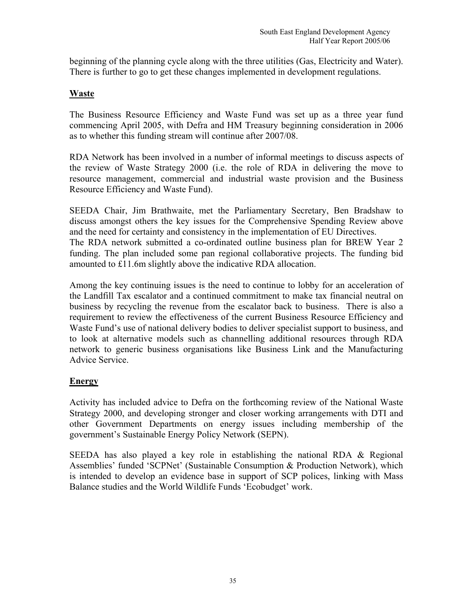beginning of the planning cycle along with the three utilities (Gas, Electricity and Water). There is further to go to get these changes implemented in development regulations.

### **Waste**

The Business Resource Efficiency and Waste Fund was set up as a three year fund commencing April 2005, with Defra and HM Treasury beginning consideration in 2006 as to whether this funding stream will continue after 2007/08.

RDA Network has been involved in a number of informal meetings to discuss aspects of the review of Waste Strategy 2000 (i.e. the role of RDA in delivering the move to resource management, commercial and industrial waste provision and the Business Resource Efficiency and Waste Fund).

SEEDA Chair, Jim Brathwaite, met the Parliamentary Secretary, Ben Bradshaw to discuss amongst others the key issues for the Comprehensive Spending Review above and the need for certainty and consistency in the implementation of EU Directives. The RDA network submitted a co-ordinated outline business plan for BREW Year 2 funding. The plan included some pan regional collaborative projects. The funding bid amounted to £11.6m slightly above the indicative RDA allocation.

Among the key continuing issues is the need to continue to lobby for an acceleration of the Landfill Tax escalator and a continued commitment to make tax financial neutral on business by recycling the revenue from the escalator back to business. There is also a requirement to review the effectiveness of the current Business Resource Efficiency and Waste Fund's use of national delivery bodies to deliver specialist support to business, and to look at alternative models such as channelling additional resources through RDA network to generic business organisations like Business Link and the Manufacturing Advice Service.

## **Energy**

Activity has included advice to Defra on the forthcoming review of the National Waste Strategy 2000, and developing stronger and closer working arrangements with DTI and other Government Departments on energy issues including membership of the government's Sustainable Energy Policy Network (SEPN).

SEEDA has also played a key role in establishing the national RDA & Regional Assemblies' funded 'SCPNet' (Sustainable Consumption & Production Network), which is intended to develop an evidence base in support of SCP polices, linking with Mass Balance studies and the World Wildlife Funds 'Ecobudget' work.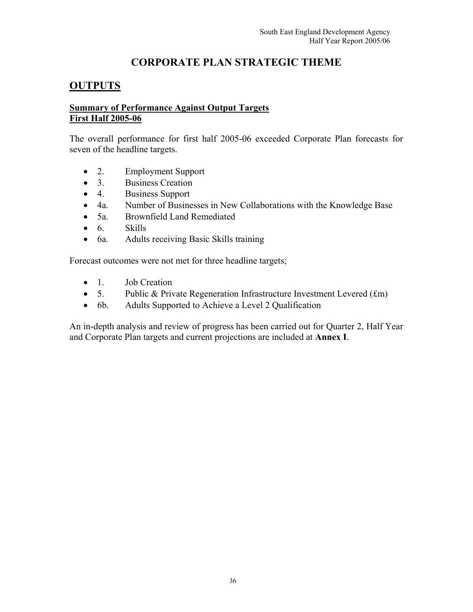## **CORPORATE PLAN STRATEGIC THEME**

## **OUTPUTS**

#### **Summary of Performance Against Output Targets First Half 2005-06**

The overall performance for first half 2005-06 exceeded Corporate Plan forecasts for seven of the headline targets.

- 2. Employment Support
- 3. Business Creation
- 4. Business Support
- 4a. Number of Businesses in New Collaborations with the Knowledge Base
- 5a. Brownfield Land Remediated
- 6. Skills
- 6a. Adults receiving Basic Skills training

Forecast outcomes were not met for three headline targets;

- 1. Job Creation
- 5. Public & Private Regeneration Infrastructure Investment Levered (£m)
- 6b. Adults Supported to Achieve a Level 2 Qualification

An in-depth analysis and review of progress has been carried out for Quarter 2, Half Year and Corporate Plan targets and current projections are included at **Annex I**.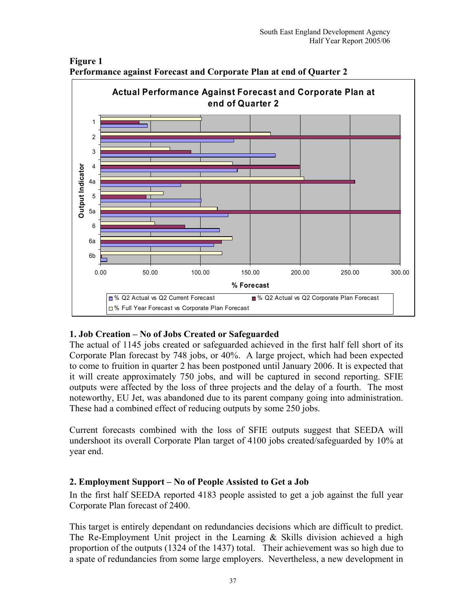

**Figure 1 Performance against Forecast and Corporate Plan at end of Quarter 2** 

## **1. Job Creation – No of Jobs Created or Safeguarded**

The actual of 1145 jobs created or safeguarded achieved in the first half fell short of its Corporate Plan forecast by 748 jobs, or 40%. A large project, which had been expected to come to fruition in quarter 2 has been postponed until January 2006. It is expected that it will create approximately 750 jobs, and will be captured in second reporting. SFIE outputs were affected by the loss of three projects and the delay of a fourth. The most noteworthy, EU Jet, was abandoned due to its parent company going into administration. These had a combined effect of reducing outputs by some 250 jobs.

Current forecasts combined with the loss of SFIE outputs suggest that SEEDA will undershoot its overall Corporate Plan target of 4100 jobs created/safeguarded by 10% at year end.

## **2. Employment Support – No of People Assisted to Get a Job**

In the first half SEEDA reported 4183 people assisted to get a job against the full year Corporate Plan forecast of 2400.

This target is entirely dependant on redundancies decisions which are difficult to predict. The Re-Employment Unit project in the Learning & Skills division achieved a high proportion of the outputs (1324 of the 1437) total. Their achievement was so high due to a spate of redundancies from some large employers. Nevertheless, a new development in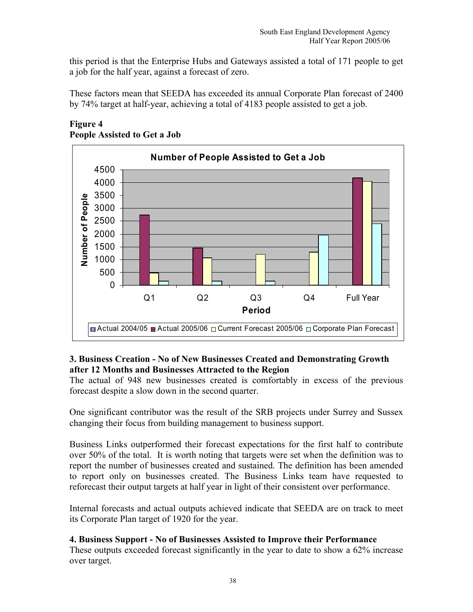this period is that the Enterprise Hubs and Gateways assisted a total of 171 people to get a job for the half year, against a forecast of zero.

These factors mean that SEEDA has exceeded its annual Corporate Plan forecast of 2400 by 74% target at half-year, achieving a total of 4183 people assisted to get a job.



## **Figure 4 People Assisted to Get a Job**

## **3. Business Creation - No of New Businesses Created and Demonstrating Growth after 12 Months and Businesses Attracted to the Region**

The actual of 948 new businesses created is comfortably in excess of the previous forecast despite a slow down in the second quarter.

One significant contributor was the result of the SRB projects under Surrey and Sussex changing their focus from building management to business support.

Business Links outperformed their forecast expectations for the first half to contribute over 50% of the total. It is worth noting that targets were set when the definition was to report the number of businesses created and sustained. The definition has been amended to report only on businesses created. The Business Links team have requested to reforecast their output targets at half year in light of their consistent over performance.

Internal forecasts and actual outputs achieved indicate that SEEDA are on track to meet its Corporate Plan target of 1920 for the year.

## **4. Business Support - No of Businesses Assisted to Improve their Performance**

These outputs exceeded forecast significantly in the year to date to show a 62% increase over target.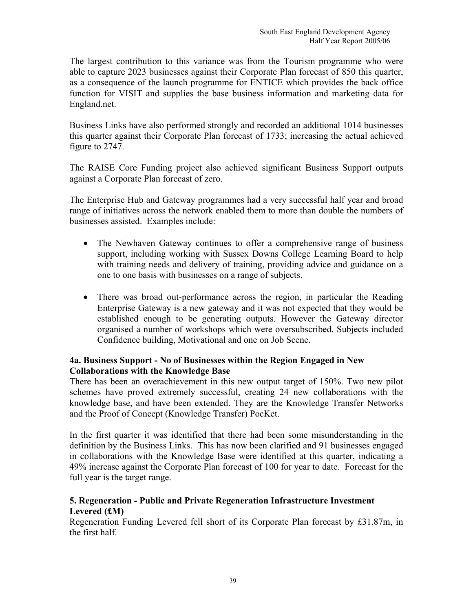The largest contribution to this variance was from the Tourism programme who were able to capture 2023 businesses against their Corporate Plan forecast of 850 this quarter, as a consequence of the launch programme for ENTICE which provides the back office function for VISIT and supplies the base business information and marketing data for England.net.

Business Links have also performed strongly and recorded an additional 1014 businesses this quarter against their Corporate Plan forecast of 1733; increasing the actual achieved figure to 2747.

The RAISE Core Funding project also achieved significant Business Support outputs against a Corporate Plan forecast of zero.

The Enterprise Hub and Gateway programmes had a very successful half year and broad range of initiatives across the network enabled them to more than double the numbers of businesses assisted. Examples include:

- The Newhaven Gateway continues to offer a comprehensive range of business support, including working with Sussex Downs College Learning Board to help with training needs and delivery of training, providing advice and guidance on a one to one basis with businesses on a range of subjects.
- There was broad out-performance across the region, in particular the Reading Enterprise Gateway is a new gateway and it was not expected that they would be established enough to be generating outputs. However the Gateway director organised a number of workshops which were oversubscribed. Subjects included Confidence building, Motivational and one on Job Scene.

## **4a. Business Support - No of Businesses within the Region Engaged in New Collaborations with the Knowledge Base**

There has been an overachievement in this new output target of 150%. Two new pilot schemes have proved extremely successful, creating 24 new collaborations with the knowledge base, and have been extended. They are the Knowledge Transfer Networks and the Proof of Concept (Knowledge Transfer) PocKet.

In the first quarter it was identified that there had been some misunderstanding in the definition by the Business Links. This has now been clarified and 91 businesses engaged in collaborations with the Knowledge Base were identified at this quarter, indicating a 49% increase against the Corporate Plan forecast of 100 for year to date. Forecast for the full year is the target range.

## **5. Regeneration - Public and Private Regeneration Infrastructure Investment Levered (£M)**

Regeneration Funding Levered fell short of its Corporate Plan forecast by £31.87m, in the first half.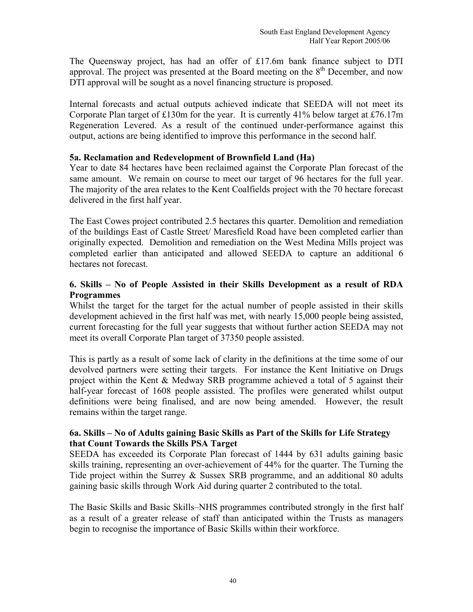The Queensway project, has had an offer of £17.6m bank finance subject to DTI approval. The project was presented at the Board meeting on the  $8<sup>th</sup>$  December, and now DTI approval will be sought as a novel financing structure is proposed.

Internal forecasts and actual outputs achieved indicate that SEEDA will not meet its Corporate Plan target of £130m for the year. It is currently 41% below target at £76.17m Regeneration Levered. As a result of the continued under-performance against this output, actions are being identified to improve this performance in the second half.

#### **5a. Reclamation and Redevelopment of Brownfield Land (Ha)**

Year to date 84 hectares have been reclaimed against the Corporate Plan forecast of the same amount. We remain on course to meet our target of 96 hectares for the full year. The majority of the area relates to the Kent Coalfields project with the 70 hectare forecast delivered in the first half year.

The East Cowes project contributed 2.5 hectares this quarter. Demolition and remediation of the buildings East of Castle Street/ Maresfield Road have been completed earlier than originally expected. Demolition and remediation on the West Medina Mills project was completed earlier than anticipated and allowed SEEDA to capture an additional 6 hectares not forecast.

## **6. Skills – No of People Assisted in their Skills Development as a result of RDA Programmes**

Whilst the target for the target for the actual number of people assisted in their skills development achieved in the first half was met, with nearly 15,000 people being assisted, current forecasting for the full year suggests that without further action SEEDA may not meet its overall Corporate Plan target of 37350 people assisted.

This is partly as a result of some lack of clarity in the definitions at the time some of our devolved partners were setting their targets. For instance the Kent Initiative on Drugs project within the Kent & Medway SRB programme achieved a total of 5 against their half-year forecast of 1608 people assisted. The profiles were generated whilst output definitions were being finalised, and are now being amended. However, the result remains within the target range.

#### **6a. Skills – No of Adults gaining Basic Skills as Part of the Skills for Life Strategy that Count Towards the Skills PSA Target**

SEEDA has exceeded its Corporate Plan forecast of 1444 by 631 adults gaining basic skills training, representing an over-achievement of 44% for the quarter. The Turning the Tide project within the Surrey & Sussex SRB programme, and an additional 80 adults gaining basic skills through Work Aid during quarter 2 contributed to the total.

The Basic Skills and Basic Skills–NHS programmes contributed strongly in the first half as a result of a greater release of staff than anticipated within the Trusts as managers begin to recognise the importance of Basic Skills within their workforce.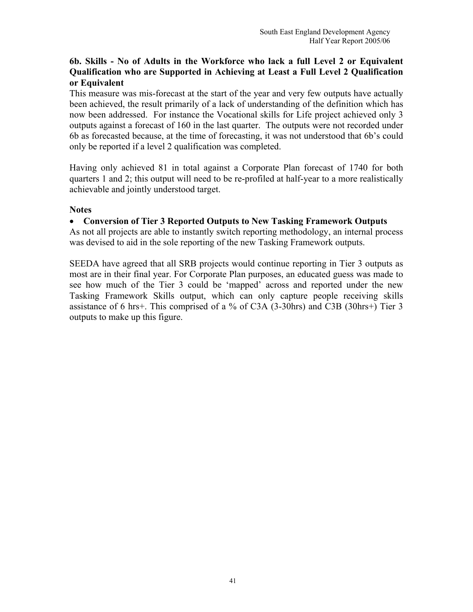## **6b. Skills - No of Adults in the Workforce who lack a full Level 2 or Equivalent Qualification who are Supported in Achieving at Least a Full Level 2 Qualification or Equivalent**

This measure was mis-forecast at the start of the year and very few outputs have actually been achieved, the result primarily of a lack of understanding of the definition which has now been addressed. For instance the Vocational skills for Life project achieved only 3 outputs against a forecast of 160 in the last quarter. The outputs were not recorded under 6b as forecasted because, at the time of forecasting, it was not understood that 6b's could only be reported if a level 2 qualification was completed.

Having only achieved 81 in total against a Corporate Plan forecast of 1740 for both quarters 1 and 2; this output will need to be re-profiled at half-year to a more realistically achievable and jointly understood target.

#### **Notes**

## • **Conversion of Tier 3 Reported Outputs to New Tasking Framework Outputs**

As not all projects are able to instantly switch reporting methodology, an internal process was devised to aid in the sole reporting of the new Tasking Framework outputs.

SEEDA have agreed that all SRB projects would continue reporting in Tier 3 outputs as most are in their final year. For Corporate Plan purposes, an educated guess was made to see how much of the Tier 3 could be 'mapped' across and reported under the new Tasking Framework Skills output, which can only capture people receiving skills assistance of 6 hrs+. This comprised of a % of C3A (3-30hrs) and C3B (30hrs+) Tier 3 outputs to make up this figure.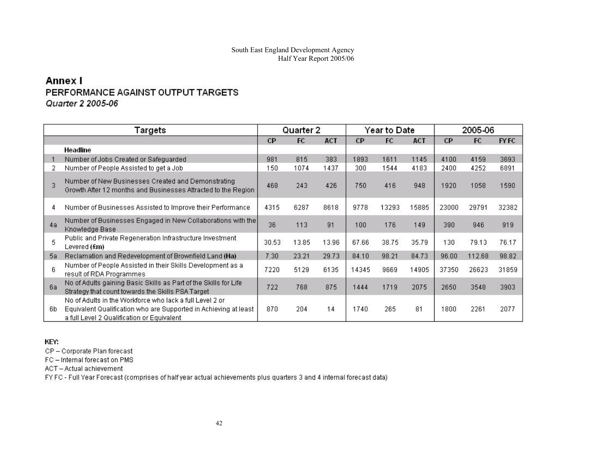## **Annex I** PERFORMANCE AGAINST OUTPUT TARGETS Quarter 2 2005-06

| Targets             |                                                                                                                                                                            |       | Quarter 2 |            | Year to Date |           |            | 2005-06 |        |             |
|---------------------|----------------------------------------------------------------------------------------------------------------------------------------------------------------------------|-------|-----------|------------|--------------|-----------|------------|---------|--------|-------------|
|                     |                                                                                                                                                                            | CP    | FC        | <b>ACT</b> | CP           | <b>FC</b> | <b>ACT</b> | CP      | FC     | <b>FYFC</b> |
|                     | Headline                                                                                                                                                                   |       |           |            |              |           |            |         |        |             |
|                     | Number of Jobs Created or Safequarded                                                                                                                                      | 981   | 815       | 383        | 1893         | 1611      | 1145       | 4100    | 4159   | 3693        |
| 2                   | Number of People Assisted to get a Job                                                                                                                                     | 150   | 1074      | 1437       | 300          | 1544      | 4183       | 2400    | 4252   | 6891        |
| $\overline{3}$      | Number of New Businesses Created and Demonstrating<br>Growth After 12 months and Businesses Attracted to the Region                                                        | 468   | 243       | 426        | 750          | 416       | 948        | 1920    | 1058   | 1590        |
| 4                   | Number of Businesses Assisted to Improve their Performance                                                                                                                 | 4315  | 6287      | 8618       | 9778         | 13293     | 15885      | 23000   | 29791  | 32382       |
| 4a                  | Number of Businesses Engaged in New Collaborations with the<br>Knowledge Base                                                                                              | 36    | 113       | 91         | 100          | 176       | 149        | 390     | 946    | 919         |
| 5                   | Public and Private Regeneration Infrastructure Investment<br>Levered (£m)                                                                                                  | 30.53 | 13.85     | 13.96      | 67.66        | 38.75     | 35.79      | 130     | 79.13  | 76.17       |
| 5a                  | Reclamation and Redevelopment of Brownfield Land (Ha)                                                                                                                      | 7.30  | 23.21     | 29.73      | 84.10        | 98.21     | 84.73      | 96.00   | 112.68 | 98.82       |
| $\ddot{\mathbf{6}}$ | Number of People Assisted in their Skills Development as a<br>result of RDA Programmes                                                                                     | 7220  | 5129      | 6135       | 14345        | 9669      | 14905      | 37350   | 26623  | 31859       |
| <b>6a</b>           | No of Adults gaining Basic Skills as Part of the Skills for Life<br>Strategy that count towards the Skills PSA Target                                                      | 722   | 768       | 875        | 1444         | 1719      | 2075       | 2650    | 3548   | 3903        |
| 6b                  | No of Adults in the Workforce who lack a full Level 2 or<br>Equivalent Qualification who are Supported in Achieving at least<br>a full Level 2 Qualification or Equivalent | 870   | 204       | 14         | 1740         | 265       | 81         | 1800    | 2261   | 2077        |

#### KEY:

CP - Corporate Plan forecast

FC - Internal forecast on PMS

ACT-Actual achievement

FY FC - Full Year Forecast (comprises of half year actual achievements plus quarters 3 and 4 internal forecast data)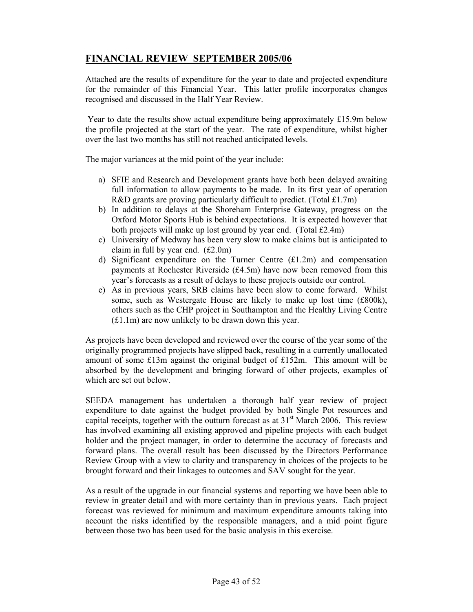## **FINANCIAL REVIEW SEPTEMBER 2005/06**

Attached are the results of expenditure for the year to date and projected expenditure for the remainder of this Financial Year. This latter profile incorporates changes recognised and discussed in the Half Year Review.

 Year to date the results show actual expenditure being approximately £15.9m below the profile projected at the start of the year. The rate of expenditure, whilst higher over the last two months has still not reached anticipated levels.

The major variances at the mid point of the year include:

- a) SFIE and Research and Development grants have both been delayed awaiting full information to allow payments to be made. In its first year of operation R&D grants are proving particularly difficult to predict. (Total £1.7m)
- b) In addition to delays at the Shoreham Enterprise Gateway, progress on the Oxford Motor Sports Hub is behind expectations. It is expected however that both projects will make up lost ground by year end. (Total £2.4m)
- c) University of Medway has been very slow to make claims but is anticipated to claim in full by year end.  $(f2.0m)$
- d) Significant expenditure on the Turner Centre  $(f1.2m)$  and compensation payments at Rochester Riverside (£4.5m) have now been removed from this year's forecasts as a result of delays to these projects outside our control.
- e) As in previous years, SRB claims have been slow to come forward. Whilst some, such as Westergate House are likely to make up lost time (£800k), others such as the CHP project in Southampton and the Healthy Living Centre (£1.1m) are now unlikely to be drawn down this year.

As projects have been developed and reviewed over the course of the year some of the originally programmed projects have slipped back, resulting in a currently unallocated amount of some £13m against the original budget of £152m. This amount will be absorbed by the development and bringing forward of other projects, examples of which are set out below.

SEEDA management has undertaken a thorough half year review of project expenditure to date against the budget provided by both Single Pot resources and capital receipts, together with the outturn forecast as at  $31<sup>st</sup>$  March 2006. This review has involved examining all existing approved and pipeline projects with each budget holder and the project manager, in order to determine the accuracy of forecasts and forward plans. The overall result has been discussed by the Directors Performance Review Group with a view to clarity and transparency in choices of the projects to be brought forward and their linkages to outcomes and SAV sought for the year.

As a result of the upgrade in our financial systems and reporting we have been able to review in greater detail and with more certainty than in previous years. Each project forecast was reviewed for minimum and maximum expenditure amounts taking into account the risks identified by the responsible managers, and a mid point figure between those two has been used for the basic analysis in this exercise.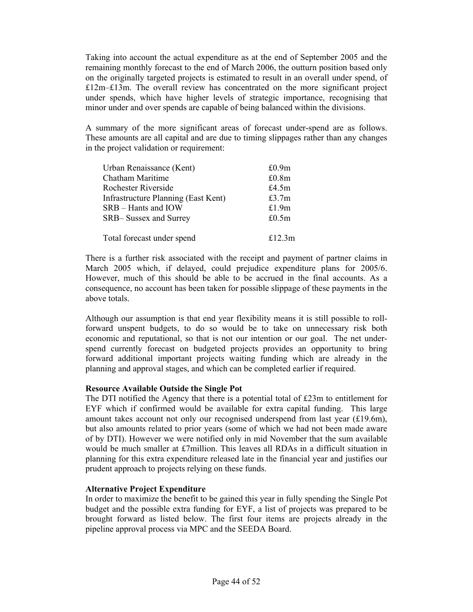Taking into account the actual expenditure as at the end of September 2005 and the remaining monthly forecast to the end of March 2006, the outturn position based only on the originally targeted projects is estimated to result in an overall under spend, of £12m–£13m. The overall review has concentrated on the more significant project under spends, which have higher levels of strategic importance, recognising that minor under and over spends are capable of being balanced within the divisions.

A summary of the more significant areas of forecast under-spend are as follows. These amounts are all capital and are due to timing slippages rather than any changes in the project validation or requirement:

| Urban Renaissance (Kent)            | £0.9m |
|-------------------------------------|-------|
| Chatham Maritime                    | £0.8m |
| Rochester Riverside                 | £4.5m |
| Infrastructure Planning (East Kent) | £3.7m |
| SRB – Hants and IOW                 | £1.9m |
| SRB-Sussex and Surrey               | £0.5m |
|                                     |       |
| Total forecast under spend          | f123m |

There is a further risk associated with the receipt and payment of partner claims in March 2005 which, if delayed, could prejudice expenditure plans for 2005/6. However, much of this should be able to be accrued in the final accounts. As a consequence, no account has been taken for possible slippage of these payments in the above totals.

Although our assumption is that end year flexibility means it is still possible to rollforward unspent budgets, to do so would be to take on unnecessary risk both economic and reputational, so that is not our intention or our goal. The net underspend currently forecast on budgeted projects provides an opportunity to bring forward additional important projects waiting funding which are already in the planning and approval stages, and which can be completed earlier if required.

#### **Resource Available Outside the Single Pot**

The DTI notified the Agency that there is a potential total of £23m to entitlement for EYF which if confirmed would be available for extra capital funding. This large amount takes account not only our recognised underspend from last year  $(E19.6m)$ , but also amounts related to prior years (some of which we had not been made aware of by DTI). However we were notified only in mid November that the sum available would be much smaller at £7million. This leaves all RDAs in a difficult situation in planning for this extra expenditure released late in the financial year and justifies our prudent approach to projects relying on these funds.

#### **Alternative Project Expenditure**

In order to maximize the benefit to be gained this year in fully spending the Single Pot budget and the possible extra funding for EYF, a list of projects was prepared to be brought forward as listed below. The first four items are projects already in the pipeline approval process via MPC and the SEEDA Board.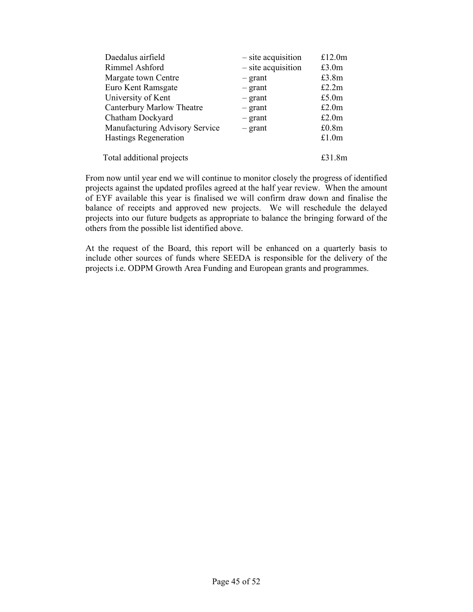| Daedalus airfield              | - site acquisition | £12.0 $m$ |
|--------------------------------|--------------------|-----------|
| Rimmel Ashford                 | - site acquisition | £3.0m     |
| Margate town Centre            | $-$ grant          | £3.8m     |
| Euro Kent Ramsgate             | $-$ grant          | £2.2m     |
| University of Kent             | $-$ grant          | £5.0m     |
| Canterbury Marlow Theatre      | $-$ grant          | £2.0m     |
| Chatham Dockyard               | $-$ grant          | £2.0m     |
| Manufacturing Advisory Service | $-$ grant          | £0.8m     |
| <b>Hastings Regeneration</b>   |                    | £1.0m     |
|                                |                    |           |
| Total additional projects      |                    | £31.8m    |

From now until year end we will continue to monitor closely the progress of identified projects against the updated profiles agreed at the half year review. When the amount of EYF available this year is finalised we will confirm draw down and finalise the balance of receipts and approved new projects. We will reschedule the delayed projects into our future budgets as appropriate to balance the bringing forward of the others from the possible list identified above.

At the request of the Board, this report will be enhanced on a quarterly basis to include other sources of funds where SEEDA is responsible for the delivery of the projects i.e. ODPM Growth Area Funding and European grants and programmes.